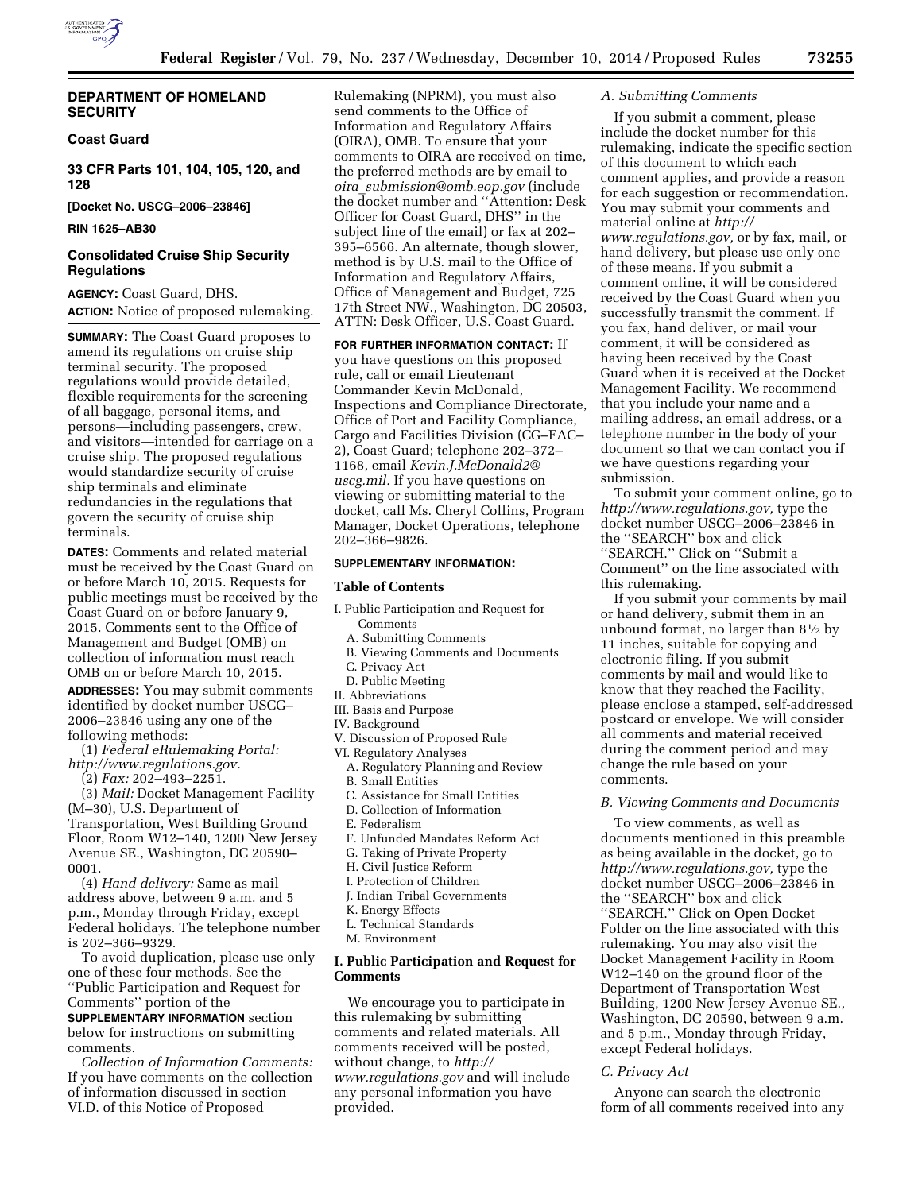

## **DEPARTMENT OF HOMELAND SECURITY**

## **Coast Guard**

**33 CFR Parts 101, 104, 105, 120, and 128** 

**[Docket No. USCG–2006–23846]** 

## **RIN 1625–AB30**

# **Consolidated Cruise Ship Security Regulations**

**AGENCY:** Coast Guard, DHS. **ACTION:** Notice of proposed rulemaking.

**SUMMARY:** The Coast Guard proposes to amend its regulations on cruise ship terminal security. The proposed regulations would provide detailed, flexible requirements for the screening of all baggage, personal items, and persons—including passengers, crew, and visitors—intended for carriage on a cruise ship. The proposed regulations would standardize security of cruise ship terminals and eliminate redundancies in the regulations that govern the security of cruise ship terminals.

**DATES:** Comments and related material must be received by the Coast Guard on or before March 10, 2015. Requests for public meetings must be received by the Coast Guard on or before January 9, 2015. Comments sent to the Office of Management and Budget (OMB) on collection of information must reach OMB on or before March 10, 2015.

**ADDRESSES:** You may submit comments identified by docket number USCG– 2006–23846 using any one of the following methods:

(1) *Federal eRulemaking Portal: [http://www.regulations.gov.](http://www.regulations.gov)* 

(2) *Fax:* 202–493–2251.

(3) *Mail:* Docket Management Facility (M–30), U.S. Department of Transportation, West Building Ground Floor, Room W12–140, 1200 New Jersey Avenue SE., Washington, DC 20590– 0001.

(4) *Hand delivery:* Same as mail address above, between 9 a.m. and 5 p.m., Monday through Friday, except Federal holidays. The telephone number is 202–366–9329.

To avoid duplication, please use only one of these four methods. See the ''Public Participation and Request for Comments'' portion of the

**SUPPLEMENTARY INFORMATION** section below for instructions on submitting comments.

*Collection of Information Comments:*  If you have comments on the collection of information discussed in section VI.D. of this Notice of Proposed

Rulemaking (NPRM), you must also send comments to the Office of Information and Regulatory Affairs (OIRA), OMB. To ensure that your comments to OIRA are received on time, the preferred methods are by email to *oira*\_*[submission@omb.eop.gov](mailto:oira_submission@omb.eop.gov)* (include the docket number and ''Attention: Desk Officer for Coast Guard, DHS'' in the subject line of the email) or fax at 202– 395–6566. An alternate, though slower, method is by U.S. mail to the Office of Information and Regulatory Affairs, Office of Management and Budget, 725 17th Street NW., Washington, DC 20503, ATTN: Desk Officer, U.S. Coast Guard.

**FOR FURTHER INFORMATION CONTACT:** If you have questions on this proposed rule, call or email Lieutenant Commander Kevin McDonald, Inspections and Compliance Directorate, Office of Port and Facility Compliance, Cargo and Facilities Division (CG–FAC– 2), Coast Guard; telephone 202–372– 1168, email *[Kevin.J.McDonald2@](mailto:Kevin.J.McDonald2@uscg.mil) [uscg.mil.](mailto:Kevin.J.McDonald2@uscg.mil)* If you have questions on viewing or submitting material to the docket, call Ms. Cheryl Collins, Program Manager, Docket Operations, telephone 202–366–9826.

#### **SUPPLEMENTARY INFORMATION:**

#### **Table of Contents**

- I. Public Participation and Request for Comments
	- A. Submitting Comments
	- B. Viewing Comments and Documents
	- C. Privacy Act
	- D. Public Meeting
- II. Abbreviations
- III. Basis and Purpose
- IV. Background
- V. Discussion of Proposed Rule
- VI. Regulatory Analyses
	- A. Regulatory Planning and Review
	- B. Small Entities
	- C. Assistance for Small Entities
	- D. Collection of Information
	- E. Federalism
	- F. Unfunded Mandates Reform Act
	- G. Taking of Private Property
	- H. Civil Justice Reform
	- I. Protection of Children
	- J. Indian Tribal Governments
	- K. Energy Effects
	- L. Technical Standards
	- M. Environment

## **I. Public Participation and Request for Comments**

We encourage you to participate in this rulemaking by submitting comments and related materials. All comments received will be posted, without change, to *[http://](http://www.regulations.gov) [www.regulations.gov](http://www.regulations.gov)* and will include any personal information you have provided.

### *A. Submitting Comments*

If you submit a comment, please include the docket number for this rulemaking, indicate the specific section of this document to which each comment applies, and provide a reason for each suggestion or recommendation. You may submit your comments and material online at *[http://](http://www.regulations.gov) [www.regulations.gov,](http://www.regulations.gov)* or by fax, mail, or hand delivery, but please use only one of these means. If you submit a comment online, it will be considered received by the Coast Guard when you successfully transmit the comment. If you fax, hand deliver, or mail your comment, it will be considered as having been received by the Coast Guard when it is received at the Docket Management Facility. We recommend that you include your name and a mailing address, an email address, or a telephone number in the body of your document so that we can contact you if we have questions regarding your submission.

To submit your comment online, go to *[http://www.regulations.gov,](http://www.regulations.gov)* type the docket number USCG–2006–23846 in the ''SEARCH'' box and click ''SEARCH.'' Click on ''Submit a Comment'' on the line associated with this rulemaking.

If you submit your comments by mail or hand delivery, submit them in an unbound format, no larger than 81⁄2 by 11 inches, suitable for copying and electronic filing. If you submit comments by mail and would like to know that they reached the Facility, please enclose a stamped, self-addressed postcard or envelope. We will consider all comments and material received during the comment period and may change the rule based on your comments.

### *B. Viewing Comments and Documents*

To view comments, as well as documents mentioned in this preamble as being available in the docket, go to *[http://www.regulations.gov,](http://www.regulations.gov)* type the docket number USCG–2006–23846 in the ''SEARCH'' box and click ''SEARCH.'' Click on Open Docket Folder on the line associated with this rulemaking. You may also visit the Docket Management Facility in Room W12–140 on the ground floor of the Department of Transportation West Building, 1200 New Jersey Avenue SE., Washington, DC 20590, between 9 a.m. and 5 p.m., Monday through Friday, except Federal holidays.

#### *C. Privacy Act*

Anyone can search the electronic form of all comments received into any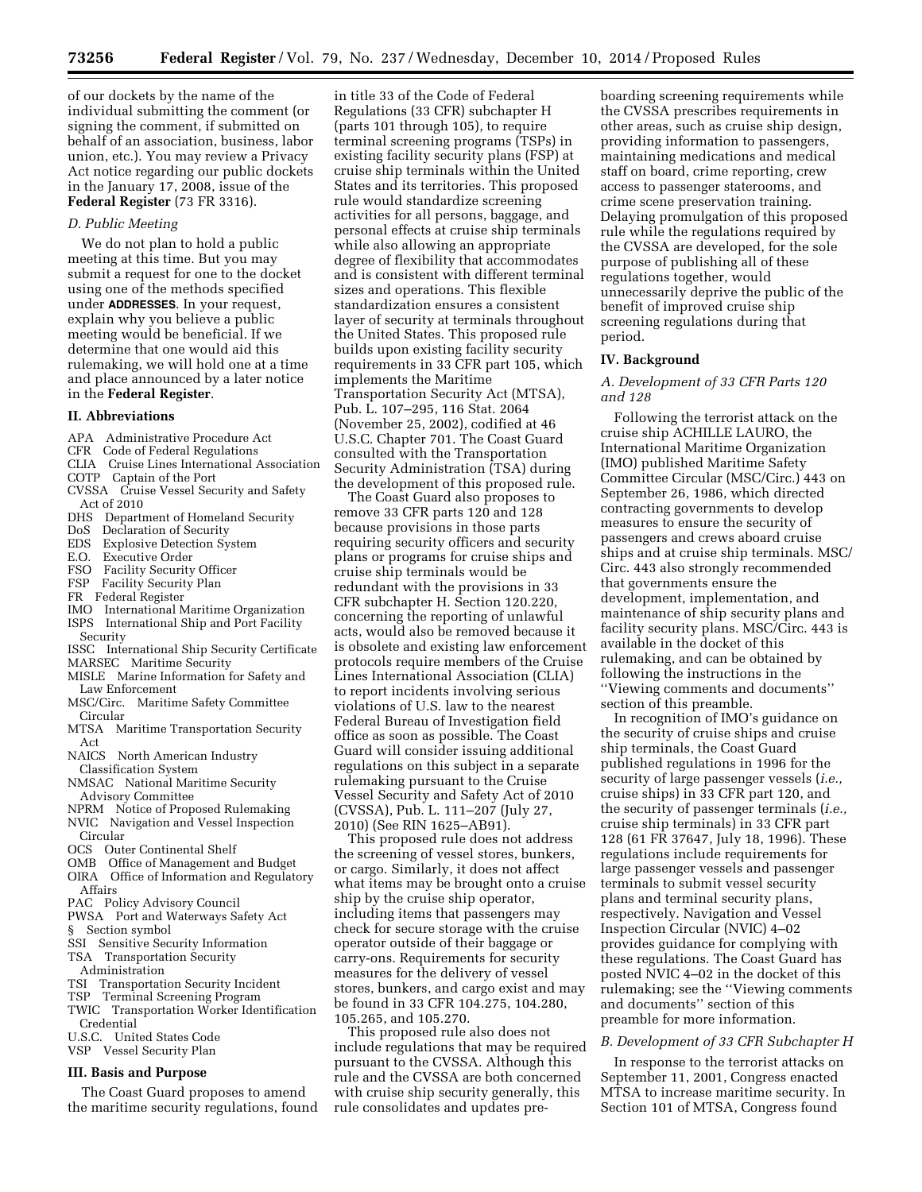of our dockets by the name of the individual submitting the comment (or signing the comment, if submitted on behalf of an association, business, labor union, etc.). You may review a Privacy Act notice regarding our public dockets in the January 17, 2008, issue of the **Federal Register** (73 FR 3316).

### *D. Public Meeting*

We do not plan to hold a public meeting at this time. But you may submit a request for one to the docket using one of the methods specified under **ADDRESSES**. In your request, explain why you believe a public meeting would be beneficial. If we determine that one would aid this rulemaking, we will hold one at a time and place announced by a later notice in the **Federal Register**.

#### **II. Abbreviations**

- APA Administrative Procedure Act
- CFR Code of Federal Regulations
- CLIA Cruise Lines International Association
- COTP Captain of the Port CVSSA Cruise Vessel Security and Safety
- Act of 2010 DHS Department of Homeland Security
- 
- DoS Declaration of Security Explosive Detection System
- E.O. Executive Order
- 
- FSO Facility Security Officer
- FSP Facility Security Plan
- FR Federal Register
- IMO International Maritime Organization ISPS International Ship and Port Facility Security
- ISSC International Ship Security Certificate
- MARSEC Maritime Security
- MISLE Marine Information for Safety and Law Enforcement
- MSC/Circ. Maritime Safety Committee Circular
- MTSA Maritime Transportation Security Act
- NAICS North American Industry Classification System
- NMSAC National Maritime Security Advisory Committee
- NPRM Notice of Proposed Rulemaking NVIC Navigation and Vessel Inspection
- Circular OCS Outer Continental Shelf
- 
- OMB Office of Management and Budget OIRA Office of Information and Regulatory Affairs
- PAC Policy Advisory Council
- PWSA Port and Waterways Safety Act § Section symbol
- SSI Sensitive Security Information
- TSA Transportation Security
- Administration
- TSI Transportation Security Incident
- TSP Terminal Screening Program
- TWIC Transportation Worker Identification Credential
- U.S.C. United States Code
- VSP Vessel Security Plan

## **III. Basis and Purpose**

The Coast Guard proposes to amend the maritime security regulations, found

in title 33 of the Code of Federal Regulations (33 CFR) subchapter H (parts 101 through 105), to require terminal screening programs (TSPs) in existing facility security plans (FSP) at cruise ship terminals within the United States and its territories. This proposed rule would standardize screening activities for all persons, baggage, and personal effects at cruise ship terminals while also allowing an appropriate degree of flexibility that accommodates and is consistent with different terminal sizes and operations. This flexible standardization ensures a consistent layer of security at terminals throughout the United States. This proposed rule builds upon existing facility security requirements in 33 CFR part 105, which implements the Maritime Transportation Security Act (MTSA), Pub. L. 107–295, 116 Stat. 2064 (November 25, 2002), codified at 46 U.S.C. Chapter 701. The Coast Guard consulted with the Transportation Security Administration (TSA) during the development of this proposed rule.

The Coast Guard also proposes to remove 33 CFR parts 120 and 128 because provisions in those parts requiring security officers and security plans or programs for cruise ships and cruise ship terminals would be redundant with the provisions in 33 CFR subchapter H. Section 120.220, concerning the reporting of unlawful acts, would also be removed because it is obsolete and existing law enforcement protocols require members of the Cruise Lines International Association (CLIA) to report incidents involving serious violations of U.S. law to the nearest Federal Bureau of Investigation field office as soon as possible. The Coast Guard will consider issuing additional regulations on this subject in a separate rulemaking pursuant to the Cruise Vessel Security and Safety Act of 2010 (CVSSA), Pub. L. 111–207 (July 27, 2010) (See RIN 1625–AB91).

This proposed rule does not address the screening of vessel stores, bunkers, or cargo. Similarly, it does not affect what items may be brought onto a cruise ship by the cruise ship operator, including items that passengers may check for secure storage with the cruise operator outside of their baggage or carry-ons. Requirements for security measures for the delivery of vessel stores, bunkers, and cargo exist and may be found in 33 CFR 104.275, 104.280, 105.265, and 105.270.

This proposed rule also does not include regulations that may be required pursuant to the CVSSA. Although this rule and the CVSSA are both concerned with cruise ship security generally, this rule consolidates and updates pre-

boarding screening requirements while the CVSSA prescribes requirements in other areas, such as cruise ship design, providing information to passengers, maintaining medications and medical staff on board, crime reporting, crew access to passenger staterooms, and crime scene preservation training. Delaying promulgation of this proposed rule while the regulations required by the CVSSA are developed, for the sole purpose of publishing all of these regulations together, would unnecessarily deprive the public of the benefit of improved cruise ship screening regulations during that period.

#### **IV. Background**

## *A. Development of 33 CFR Parts 120 and 128*

Following the terrorist attack on the cruise ship ACHILLE LAURO, the International Maritime Organization (IMO) published Maritime Safety Committee Circular (MSC/Circ.) 443 on September 26, 1986, which directed contracting governments to develop measures to ensure the security of passengers and crews aboard cruise ships and at cruise ship terminals. MSC/ Circ. 443 also strongly recommended that governments ensure the development, implementation, and maintenance of ship security plans and facility security plans. MSC/Circ. 443 is available in the docket of this rulemaking, and can be obtained by following the instructions in the ''Viewing comments and documents'' section of this preamble.

In recognition of IMO's guidance on the security of cruise ships and cruise ship terminals, the Coast Guard published regulations in 1996 for the security of large passenger vessels (*i.e.,*  cruise ships) in 33 CFR part 120, and the security of passenger terminals (*i.e.,*  cruise ship terminals) in 33 CFR part 128 (61 FR 37647, July 18, 1996). These regulations include requirements for large passenger vessels and passenger terminals to submit vessel security plans and terminal security plans, respectively. Navigation and Vessel Inspection Circular (NVIC) 4–02 provides guidance for complying with these regulations. The Coast Guard has posted NVIC 4–02 in the docket of this rulemaking; see the ''Viewing comments and documents'' section of this preamble for more information.

# *B. Development of 33 CFR Subchapter H*

In response to the terrorist attacks on September 11, 2001, Congress enacted MTSA to increase maritime security. In Section 101 of MTSA, Congress found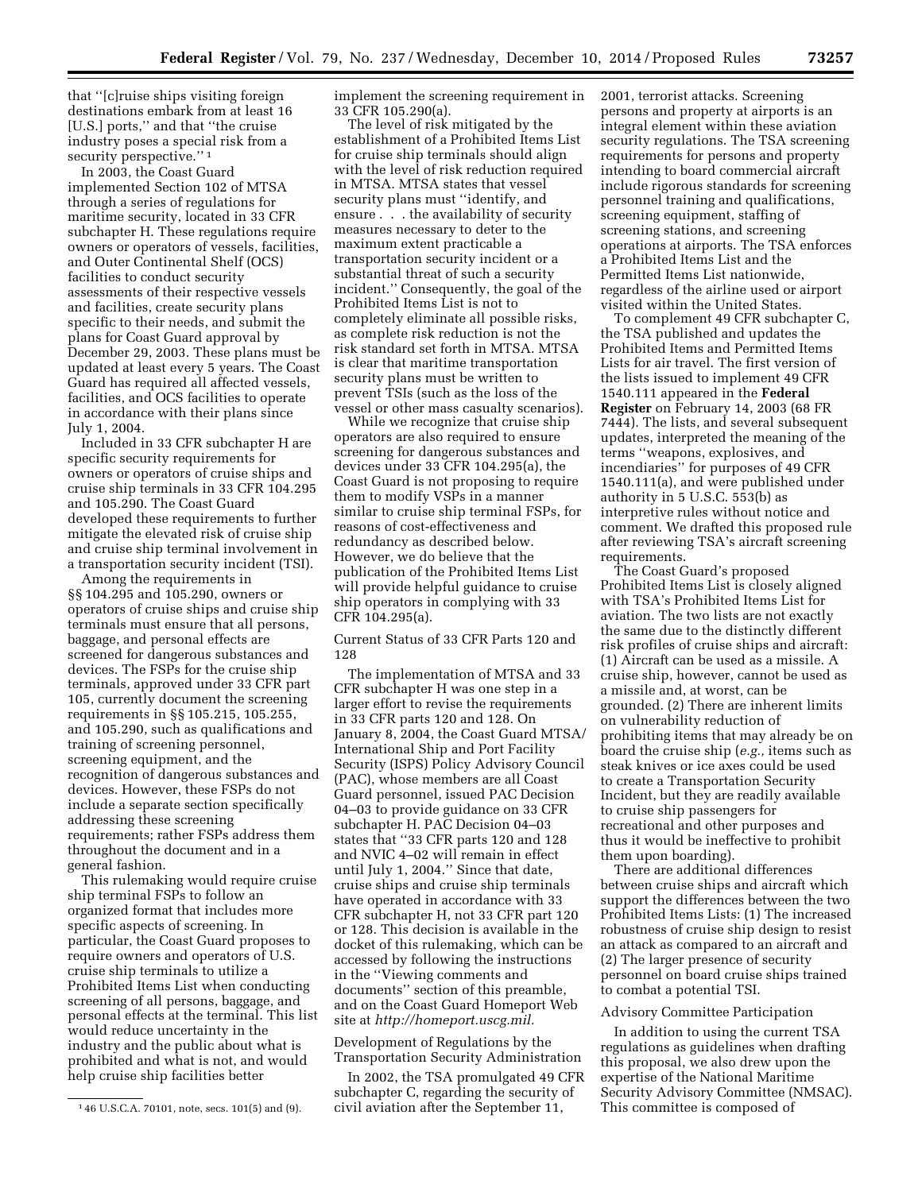that ''[c]ruise ships visiting foreign destinations embark from at least 16 [U.S.] ports,'' and that ''the cruise industry poses a special risk from a security perspective."<sup>1</sup>

In 2003, the Coast Guard implemented Section 102 of MTSA through a series of regulations for maritime security, located in 33 CFR subchapter H. These regulations require owners or operators of vessels, facilities, and Outer Continental Shelf (OCS) facilities to conduct security assessments of their respective vessels and facilities, create security plans specific to their needs, and submit the plans for Coast Guard approval by December 29, 2003. These plans must be updated at least every 5 years. The Coast Guard has required all affected vessels, facilities, and OCS facilities to operate in accordance with their plans since July 1, 2004.

Included in 33 CFR subchapter H are specific security requirements for owners or operators of cruise ships and cruise ship terminals in 33 CFR 104.295 and 105.290. The Coast Guard developed these requirements to further mitigate the elevated risk of cruise ship and cruise ship terminal involvement in a transportation security incident (TSI).

Among the requirements in §§ 104.295 and 105.290, owners or operators of cruise ships and cruise ship terminals must ensure that all persons, baggage, and personal effects are screened for dangerous substances and devices. The FSPs for the cruise ship terminals, approved under 33 CFR part 105, currently document the screening requirements in §§ 105.215, 105.255, and 105.290, such as qualifications and training of screening personnel, screening equipment, and the recognition of dangerous substances and devices. However, these FSPs do not include a separate section specifically addressing these screening requirements; rather FSPs address them throughout the document and in a general fashion.

This rulemaking would require cruise ship terminal FSPs to follow an organized format that includes more specific aspects of screening. In particular, the Coast Guard proposes to require owners and operators of U.S. cruise ship terminals to utilize a Prohibited Items List when conducting screening of all persons, baggage, and personal effects at the terminal. This list would reduce uncertainty in the industry and the public about what is prohibited and what is not, and would help cruise ship facilities better

implement the screening requirement in 33 CFR 105.290(a).

The level of risk mitigated by the establishment of a Prohibited Items List for cruise ship terminals should align with the level of risk reduction required in MTSA. MTSA states that vessel security plans must ''identify, and ensure . . . the availability of security measures necessary to deter to the maximum extent practicable a transportation security incident or a substantial threat of such a security incident.'' Consequently, the goal of the Prohibited Items List is not to completely eliminate all possible risks, as complete risk reduction is not the risk standard set forth in MTSA. MTSA is clear that maritime transportation security plans must be written to prevent TSIs (such as the loss of the vessel or other mass casualty scenarios).

While we recognize that cruise ship operators are also required to ensure screening for dangerous substances and devices under 33 CFR 104.295(a), the Coast Guard is not proposing to require them to modify VSPs in a manner similar to cruise ship terminal FSPs, for reasons of cost-effectiveness and redundancy as described below. However, we do believe that the publication of the Prohibited Items List will provide helpful guidance to cruise ship operators in complying with 33 CFR 104.295(a).

Current Status of 33 CFR Parts 120 and 128

The implementation of MTSA and 33 CFR subchapter H was one step in a larger effort to revise the requirements in 33 CFR parts 120 and 128. On January 8, 2004, the Coast Guard MTSA/ International Ship and Port Facility Security (ISPS) Policy Advisory Council (PAC), whose members are all Coast Guard personnel, issued PAC Decision 04–03 to provide guidance on 33 CFR subchapter H. PAC Decision 04–03 states that ''33 CFR parts 120 and 128 and NVIC 4–02 will remain in effect until July 1, 2004.'' Since that date, cruise ships and cruise ship terminals have operated in accordance with 33 CFR subchapter H, not 33 CFR part 120 or 128. This decision is available in the docket of this rulemaking, which can be accessed by following the instructions in the ''Viewing comments and documents'' section of this preamble, and on the Coast Guard Homeport Web site at *[http://homeport.uscg.mil.](http://homeport.uscg.mil)* 

Development of Regulations by the Transportation Security Administration

In 2002, the TSA promulgated 49 CFR subchapter C, regarding the security of civil aviation after the September 11,

2001, terrorist attacks. Screening persons and property at airports is an integral element within these aviation security regulations. The TSA screening requirements for persons and property intending to board commercial aircraft include rigorous standards for screening personnel training and qualifications, screening equipment, staffing of screening stations, and screening operations at airports. The TSA enforces a Prohibited Items List and the Permitted Items List nationwide, regardless of the airline used or airport visited within the United States.

To complement 49 CFR subchapter C, the TSA published and updates the Prohibited Items and Permitted Items Lists for air travel. The first version of the lists issued to implement 49 CFR 1540.111 appeared in the **Federal Register** on February 14, 2003 (68 FR 7444). The lists, and several subsequent updates, interpreted the meaning of the terms ''weapons, explosives, and incendiaries'' for purposes of 49 CFR 1540.111(a), and were published under authority in 5 U.S.C. 553(b) as interpretive rules without notice and comment. We drafted this proposed rule after reviewing TSA's aircraft screening requirements.

The Coast Guard's proposed Prohibited Items List is closely aligned with TSA's Prohibited Items List for aviation. The two lists are not exactly the same due to the distinctly different risk profiles of cruise ships and aircraft: (1) Aircraft can be used as a missile. A cruise ship, however, cannot be used as a missile and, at worst, can be grounded. (2) There are inherent limits on vulnerability reduction of prohibiting items that may already be on board the cruise ship (*e.g.,* items such as steak knives or ice axes could be used to create a Transportation Security Incident, but they are readily available to cruise ship passengers for recreational and other purposes and thus it would be ineffective to prohibit them upon boarding).

There are additional differences between cruise ships and aircraft which support the differences between the two Prohibited Items Lists: (1) The increased robustness of cruise ship design to resist an attack as compared to an aircraft and (2) The larger presence of security personnel on board cruise ships trained to combat a potential TSI.

### Advisory Committee Participation

In addition to using the current TSA regulations as guidelines when drafting this proposal, we also drew upon the expertise of the National Maritime Security Advisory Committee (NMSAC). This committee is composed of

<sup>1</sup> 46 U.S.C.A. 70101, note, secs. 101(5) and (9).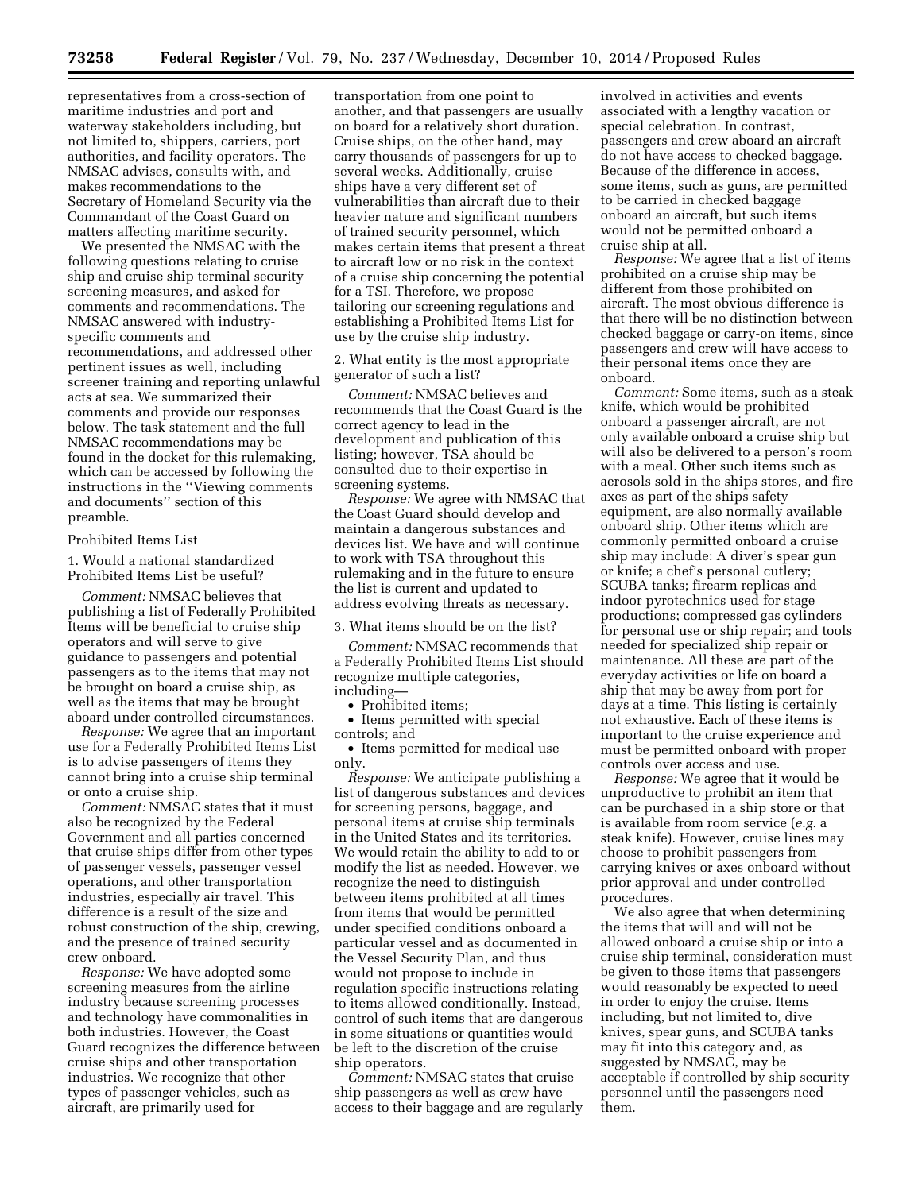representatives from a cross-section of maritime industries and port and waterway stakeholders including, but not limited to, shippers, carriers, port authorities, and facility operators. The NMSAC advises, consults with, and makes recommendations to the Secretary of Homeland Security via the Commandant of the Coast Guard on matters affecting maritime security.

We presented the NMSAC with the following questions relating to cruise ship and cruise ship terminal security screening measures, and asked for comments and recommendations. The NMSAC answered with industryspecific comments and recommendations, and addressed other pertinent issues as well, including screener training and reporting unlawful acts at sea. We summarized their comments and provide our responses below. The task statement and the full NMSAC recommendations may be found in the docket for this rulemaking, which can be accessed by following the instructions in the ''Viewing comments and documents'' section of this preamble.

#### Prohibited Items List

1. Would a national standardized Prohibited Items List be useful?

*Comment:* NMSAC believes that publishing a list of Federally Prohibited Items will be beneficial to cruise ship operators and will serve to give guidance to passengers and potential passengers as to the items that may not be brought on board a cruise ship, as well as the items that may be brought aboard under controlled circumstances.

*Response:* We agree that an important use for a Federally Prohibited Items List is to advise passengers of items they cannot bring into a cruise ship terminal or onto a cruise ship.

*Comment:* NMSAC states that it must also be recognized by the Federal Government and all parties concerned that cruise ships differ from other types of passenger vessels, passenger vessel operations, and other transportation industries, especially air travel. This difference is a result of the size and robust construction of the ship, crewing, and the presence of trained security crew onboard.

*Response:* We have adopted some screening measures from the airline industry because screening processes and technology have commonalities in both industries. However, the Coast Guard recognizes the difference between cruise ships and other transportation industries. We recognize that other types of passenger vehicles, such as aircraft, are primarily used for

transportation from one point to another, and that passengers are usually on board for a relatively short duration. Cruise ships, on the other hand, may carry thousands of passengers for up to several weeks. Additionally, cruise ships have a very different set of vulnerabilities than aircraft due to their heavier nature and significant numbers of trained security personnel, which makes certain items that present a threat to aircraft low or no risk in the context of a cruise ship concerning the potential for a TSI. Therefore, we propose tailoring our screening regulations and establishing a Prohibited Items List for use by the cruise ship industry.

2. What entity is the most appropriate generator of such a list?

*Comment:* NMSAC believes and recommends that the Coast Guard is the correct agency to lead in the development and publication of this listing; however, TSA should be consulted due to their expertise in screening systems.

*Response:* We agree with NMSAC that the Coast Guard should develop and maintain a dangerous substances and devices list. We have and will continue to work with TSA throughout this rulemaking and in the future to ensure the list is current and updated to address evolving threats as necessary.

3. What items should be on the list?

*Comment:* NMSAC recommends that a Federally Prohibited Items List should recognize multiple categories, including—

• Prohibited items;

• Items permitted with special controls; and

• Items permitted for medical use only.

*Response:* We anticipate publishing a list of dangerous substances and devices for screening persons, baggage, and personal items at cruise ship terminals in the United States and its territories. We would retain the ability to add to or modify the list as needed. However, we recognize the need to distinguish between items prohibited at all times from items that would be permitted under specified conditions onboard a particular vessel and as documented in the Vessel Security Plan, and thus would not propose to include in regulation specific instructions relating to items allowed conditionally. Instead, control of such items that are dangerous in some situations or quantities would be left to the discretion of the cruise ship operators.

*Comment:* NMSAC states that cruise ship passengers as well as crew have access to their baggage and are regularly

involved in activities and events associated with a lengthy vacation or special celebration. In contrast, passengers and crew aboard an aircraft do not have access to checked baggage. Because of the difference in access, some items, such as guns, are permitted to be carried in checked baggage onboard an aircraft, but such items would not be permitted onboard a cruise ship at all.

*Response:* We agree that a list of items prohibited on a cruise ship may be different from those prohibited on aircraft. The most obvious difference is that there will be no distinction between checked baggage or carry-on items, since passengers and crew will have access to their personal items once they are onboard.

*Comment:* Some items, such as a steak knife, which would be prohibited onboard a passenger aircraft, are not only available onboard a cruise ship but will also be delivered to a person's room with a meal. Other such items such as aerosols sold in the ships stores, and fire axes as part of the ships safety equipment, are also normally available onboard ship. Other items which are commonly permitted onboard a cruise ship may include: A diver's spear gun or knife; a chef's personal cutlery; SCUBA tanks; firearm replicas and indoor pyrotechnics used for stage productions; compressed gas cylinders for personal use or ship repair; and tools needed for specialized ship repair or maintenance. All these are part of the everyday activities or life on board a ship that may be away from port for days at a time. This listing is certainly not exhaustive. Each of these items is important to the cruise experience and must be permitted onboard with proper controls over access and use.

*Response:* We agree that it would be unproductive to prohibit an item that can be purchased in a ship store or that is available from room service (*e.g.* a steak knife). However, cruise lines may choose to prohibit passengers from carrying knives or axes onboard without prior approval and under controlled procedures.

We also agree that when determining the items that will and will not be allowed onboard a cruise ship or into a cruise ship terminal, consideration must be given to those items that passengers would reasonably be expected to need in order to enjoy the cruise. Items including, but not limited to, dive knives, spear guns, and SCUBA tanks may fit into this category and, as suggested by NMSAC, may be acceptable if controlled by ship security personnel until the passengers need them.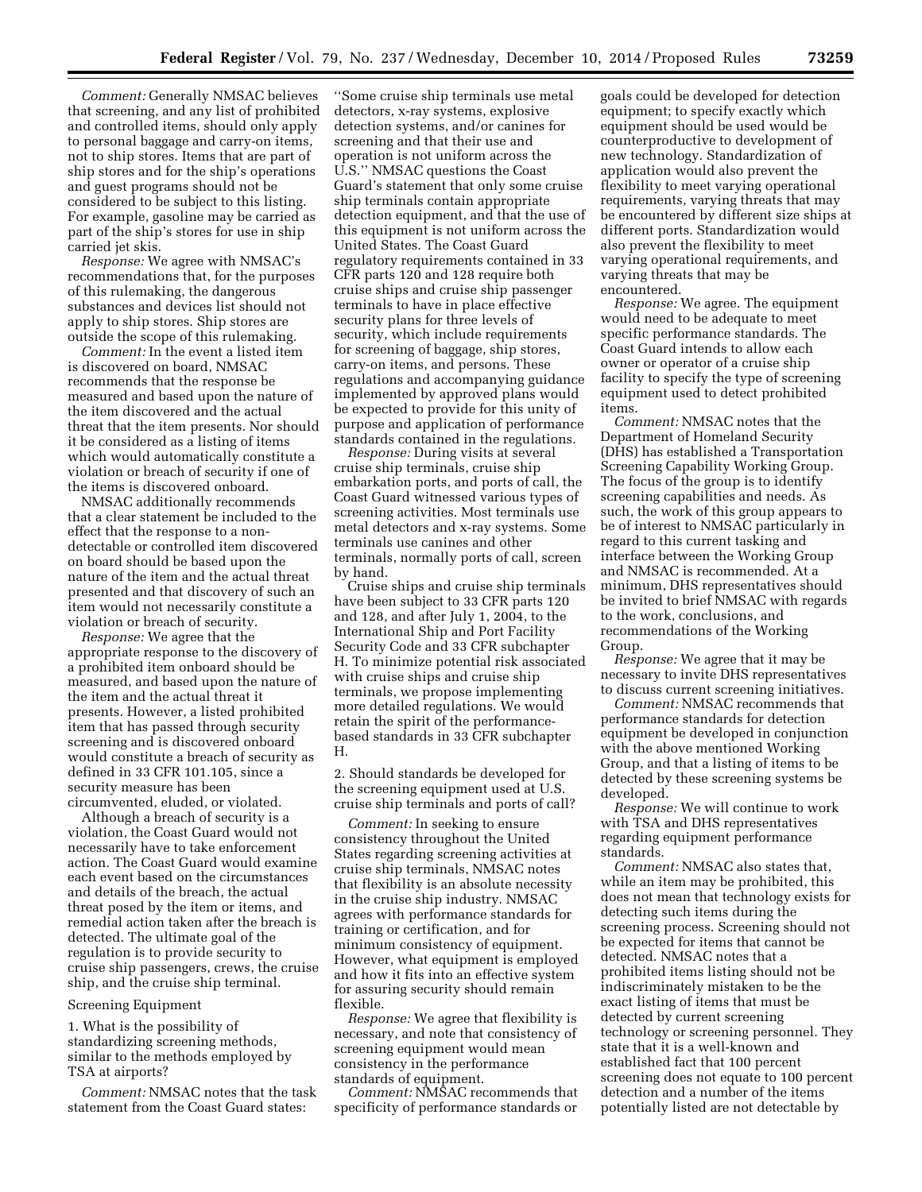*Comment:* Generally NMSAC believes that screening, and any list of prohibited and controlled items, should only apply to personal baggage and carry-on items, not to ship stores. Items that are part of ship stores and for the ship's operations and guest programs should not be considered to be subject to this listing. For example, gasoline may be carried as part of the ship's stores for use in ship carried jet skis.

*Response:* We agree with NMSAC's recommendations that, for the purposes of this rulemaking, the dangerous substances and devices list should not apply to ship stores. Ship stores are outside the scope of this rulemaking.

*Comment:* In the event a listed item is discovered on board, NMSAC recommends that the response be measured and based upon the nature of the item discovered and the actual threat that the item presents. Nor should it be considered as a listing of items which would automatically constitute a violation or breach of security if one of the items is discovered onboard.

NMSAC additionally recommends that a clear statement be included to the effect that the response to a nondetectable or controlled item discovered on board should be based upon the nature of the item and the actual threat presented and that discovery of such an item would not necessarily constitute a violation or breach of security.

*Response:* We agree that the appropriate response to the discovery of a prohibited item onboard should be measured, and based upon the nature of the item and the actual threat it presents. However, a listed prohibited item that has passed through security screening and is discovered onboard would constitute a breach of security as defined in 33 CFR 101.105, since a security measure has been circumvented, eluded, or violated.

Although a breach of security is a violation, the Coast Guard would not necessarily have to take enforcement action. The Coast Guard would examine each event based on the circumstances and details of the breach, the actual threat posed by the item or items, and remedial action taken after the breach is detected. The ultimate goal of the regulation is to provide security to cruise ship passengers, crews, the cruise ship, and the cruise ship terminal.

#### Screening Equipment

1. What is the possibility of standardizing screening methods, similar to the methods employed by TSA at airports?

*Comment:* NMSAC notes that the task statement from the Coast Guard states:

''Some cruise ship terminals use metal detectors, x-ray systems, explosive detection systems, and/or canines for screening and that their use and operation is not uniform across the U.S.'' NMSAC questions the Coast Guard's statement that only some cruise ship terminals contain appropriate detection equipment, and that the use of this equipment is not uniform across the United States. The Coast Guard regulatory requirements contained in 33 CFR parts 120 and 128 require both cruise ships and cruise ship passenger terminals to have in place effective security plans for three levels of security, which include requirements for screening of baggage, ship stores, carry-on items, and persons. These regulations and accompanying guidance implemented by approved plans would be expected to provide for this unity of purpose and application of performance standards contained in the regulations.

*Response:* During visits at several cruise ship terminals, cruise ship embarkation ports, and ports of call, the Coast Guard witnessed various types of screening activities. Most terminals use metal detectors and x-ray systems. Some terminals use canines and other terminals, normally ports of call, screen by hand.

Cruise ships and cruise ship terminals have been subject to 33 CFR parts 120 and 128, and after July 1, 2004, to the International Ship and Port Facility Security Code and 33 CFR subchapter H. To minimize potential risk associated with cruise ships and cruise ship terminals, we propose implementing more detailed regulations. We would retain the spirit of the performancebased standards in 33 CFR subchapter H.

2. Should standards be developed for the screening equipment used at U.S. cruise ship terminals and ports of call?

*Comment:* In seeking to ensure consistency throughout the United States regarding screening activities at cruise ship terminals, NMSAC notes that flexibility is an absolute necessity in the cruise ship industry. NMSAC agrees with performance standards for training or certification, and for minimum consistency of equipment. However, what equipment is employed and how it fits into an effective system for assuring security should remain flexible.

*Response:* We agree that flexibility is necessary, and note that consistency of screening equipment would mean consistency in the performance standards of equipment.

*Comment:* NMSAC recommends that specificity of performance standards or goals could be developed for detection equipment; to specify exactly which equipment should be used would be counterproductive to development of new technology. Standardization of application would also prevent the flexibility to meet varying operational requirements, varying threats that may be encountered by different size ships at different ports. Standardization would also prevent the flexibility to meet varying operational requirements, and varying threats that may be encountered.

*Response:* We agree. The equipment would need to be adequate to meet specific performance standards. The Coast Guard intends to allow each owner or operator of a cruise ship facility to specify the type of screening equipment used to detect prohibited items.

*Comment:* NMSAC notes that the Department of Homeland Security (DHS) has established a Transportation Screening Capability Working Group. The focus of the group is to identify screening capabilities and needs. As such, the work of this group appears to be of interest to NMSAC particularly in regard to this current tasking and interface between the Working Group and NMSAC is recommended. At a minimum, DHS representatives should be invited to brief NMSAC with regards to the work, conclusions, and recommendations of the Working Group.

*Response:* We agree that it may be necessary to invite DHS representatives to discuss current screening initiatives.

*Comment:* NMSAC recommends that performance standards for detection equipment be developed in conjunction with the above mentioned Working Group, and that a listing of items to be detected by these screening systems be developed.

*Response:* We will continue to work with TSA and DHS representatives regarding equipment performance standards.

*Comment:* NMSAC also states that, while an item may be prohibited, this does not mean that technology exists for detecting such items during the screening process. Screening should not be expected for items that cannot be detected. NMSAC notes that a prohibited items listing should not be indiscriminately mistaken to be the exact listing of items that must be detected by current screening technology or screening personnel. They state that it is a well-known and established fact that 100 percent screening does not equate to 100 percent detection and a number of the items potentially listed are not detectable by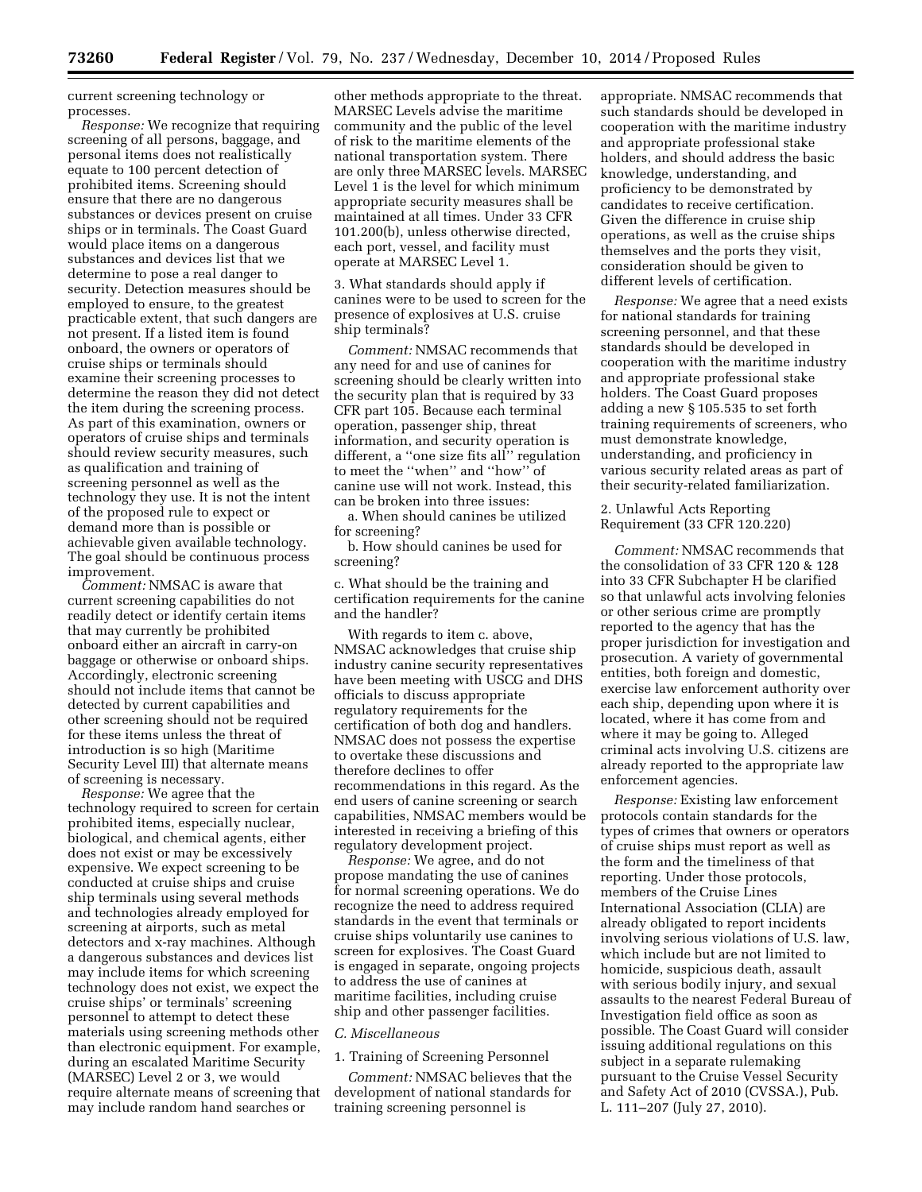current screening technology or processes.

*Response:* We recognize that requiring screening of all persons, baggage, and personal items does not realistically equate to 100 percent detection of prohibited items. Screening should ensure that there are no dangerous substances or devices present on cruise ships or in terminals. The Coast Guard would place items on a dangerous substances and devices list that we determine to pose a real danger to security. Detection measures should be employed to ensure, to the greatest practicable extent, that such dangers are not present. If a listed item is found onboard, the owners or operators of cruise ships or terminals should examine their screening processes to determine the reason they did not detect the item during the screening process. As part of this examination, owners or operators of cruise ships and terminals should review security measures, such as qualification and training of screening personnel as well as the technology they use. It is not the intent of the proposed rule to expect or demand more than is possible or achievable given available technology. The goal should be continuous process improvement.

*Comment:* NMSAC is aware that current screening capabilities do not readily detect or identify certain items that may currently be prohibited onboard either an aircraft in carry-on baggage or otherwise or onboard ships. Accordingly, electronic screening should not include items that cannot be detected by current capabilities and other screening should not be required for these items unless the threat of introduction is so high (Maritime Security Level III) that alternate means of screening is necessary.

*Response:* We agree that the technology required to screen for certain prohibited items, especially nuclear, biological, and chemical agents, either does not exist or may be excessively expensive. We expect screening to be conducted at cruise ships and cruise ship terminals using several methods and technologies already employed for screening at airports, such as metal detectors and x-ray machines. Although a dangerous substances and devices list may include items for which screening technology does not exist, we expect the cruise ships' or terminals' screening personnel to attempt to detect these materials using screening methods other than electronic equipment. For example, during an escalated Maritime Security (MARSEC) Level 2 or 3, we would require alternate means of screening that may include random hand searches or

other methods appropriate to the threat. MARSEC Levels advise the maritime community and the public of the level of risk to the maritime elements of the national transportation system. There are only three MARSEC levels. MARSEC Level 1 is the level for which minimum appropriate security measures shall be maintained at all times. Under 33 CFR 101.200(b), unless otherwise directed, each port, vessel, and facility must operate at MARSEC Level 1.

3. What standards should apply if canines were to be used to screen for the presence of explosives at U.S. cruise ship terminals?

*Comment:* NMSAC recommends that any need for and use of canines for screening should be clearly written into the security plan that is required by 33 CFR part 105. Because each terminal operation, passenger ship, threat information, and security operation is different, a ''one size fits all'' regulation to meet the ''when'' and ''how'' of canine use will not work. Instead, this can be broken into three issues:

a. When should canines be utilized for screening?

b. How should canines be used for screening?

c. What should be the training and certification requirements for the canine and the handler?

With regards to item c. above, NMSAC acknowledges that cruise ship industry canine security representatives have been meeting with USCG and DHS officials to discuss appropriate regulatory requirements for the certification of both dog and handlers. NMSAC does not possess the expertise to overtake these discussions and therefore declines to offer recommendations in this regard. As the end users of canine screening or search capabilities, NMSAC members would be interested in receiving a briefing of this regulatory development project.

*Response:* We agree, and do not propose mandating the use of canines for normal screening operations. We do recognize the need to address required standards in the event that terminals or cruise ships voluntarily use canines to screen for explosives. The Coast Guard is engaged in separate, ongoing projects to address the use of canines at maritime facilities, including cruise ship and other passenger facilities.

#### *C. Miscellaneous*

#### 1. Training of Screening Personnel

*Comment:* NMSAC believes that the development of national standards for training screening personnel is

appropriate. NMSAC recommends that such standards should be developed in cooperation with the maritime industry and appropriate professional stake holders, and should address the basic knowledge, understanding, and proficiency to be demonstrated by candidates to receive certification. Given the difference in cruise ship operations, as well as the cruise ships themselves and the ports they visit, consideration should be given to different levels of certification.

*Response:* We agree that a need exists for national standards for training screening personnel, and that these standards should be developed in cooperation with the maritime industry and appropriate professional stake holders. The Coast Guard proposes adding a new § 105.535 to set forth training requirements of screeners, who must demonstrate knowledge, understanding, and proficiency in various security related areas as part of their security-related familiarization.

2. Unlawful Acts Reporting Requirement (33 CFR 120.220)

*Comment:* NMSAC recommends that the consolidation of 33 CFR 120 & 128 into 33 CFR Subchapter H be clarified so that unlawful acts involving felonies or other serious crime are promptly reported to the agency that has the proper jurisdiction for investigation and prosecution. A variety of governmental entities, both foreign and domestic, exercise law enforcement authority over each ship, depending upon where it is located, where it has come from and where it may be going to. Alleged criminal acts involving U.S. citizens are already reported to the appropriate law enforcement agencies.

*Response:* Existing law enforcement protocols contain standards for the types of crimes that owners or operators of cruise ships must report as well as the form and the timeliness of that reporting. Under those protocols, members of the Cruise Lines International Association (CLIA) are already obligated to report incidents involving serious violations of U.S. law, which include but are not limited to homicide, suspicious death, assault with serious bodily injury, and sexual assaults to the nearest Federal Bureau of Investigation field office as soon as possible. The Coast Guard will consider issuing additional regulations on this subject in a separate rulemaking pursuant to the Cruise Vessel Security and Safety Act of 2010 (CVSSA.), Pub. L. 111–207 (July 27, 2010).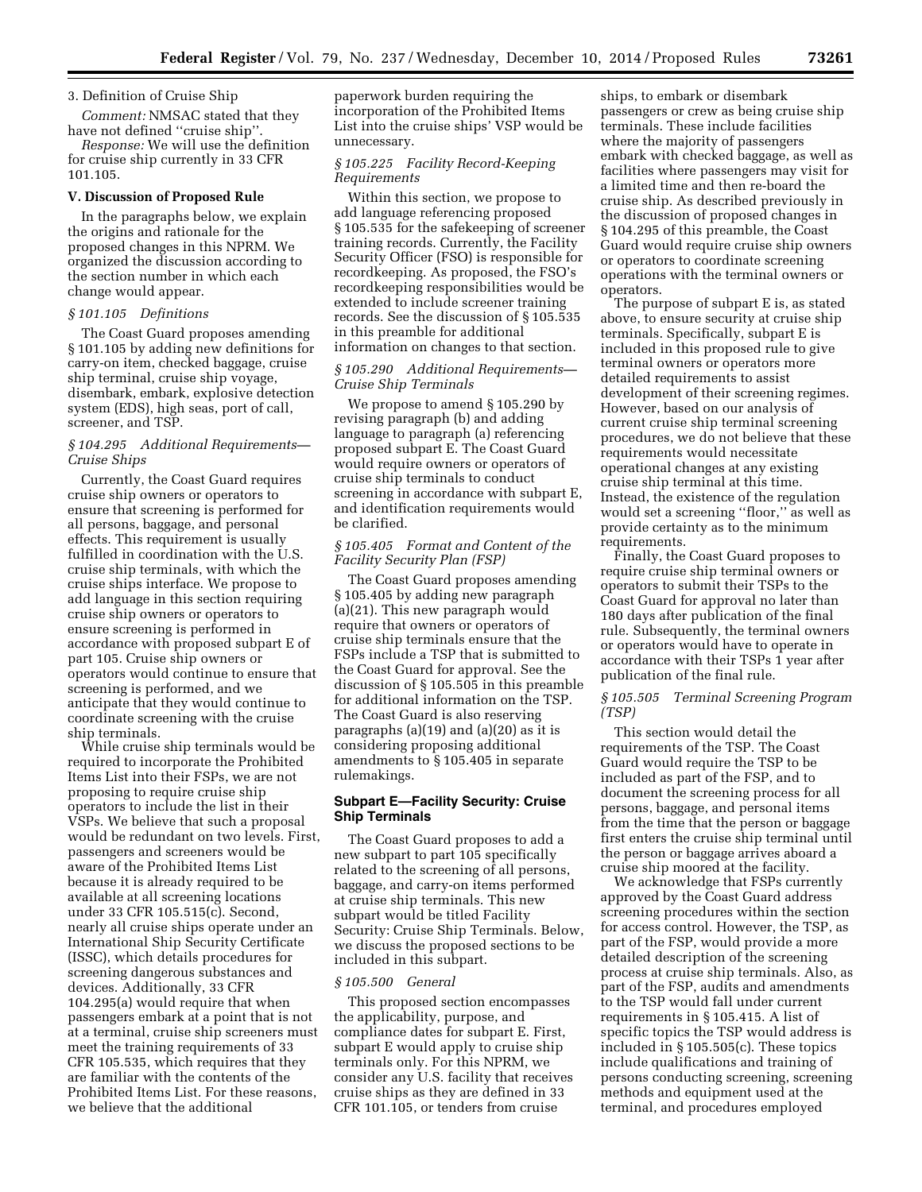# 3. Definition of Cruise Ship

*Comment:* NMSAC stated that they have not defined ''cruise ship''.

*Response:* We will use the definition for cruise ship currently in 33 CFR 101.105.

### **V. Discussion of Proposed Rule**

In the paragraphs below, we explain the origins and rationale for the proposed changes in this NPRM. We organized the discussion according to the section number in which each change would appear.

## *§ 101.105 Definitions*

The Coast Guard proposes amending § 101.105 by adding new definitions for carry-on item, checked baggage, cruise ship terminal, cruise ship voyage, disembark, embark, explosive detection system (EDS), high seas, port of call, screener, and TSP.

## *§ 104.295 Additional Requirements— Cruise Ships*

Currently, the Coast Guard requires cruise ship owners or operators to ensure that screening is performed for all persons, baggage, and personal effects. This requirement is usually fulfilled in coordination with the U.S. cruise ship terminals, with which the cruise ships interface. We propose to add language in this section requiring cruise ship owners or operators to ensure screening is performed in accordance with proposed subpart E of part 105. Cruise ship owners or operators would continue to ensure that screening is performed, and we anticipate that they would continue to coordinate screening with the cruise ship terminals.

While cruise ship terminals would be required to incorporate the Prohibited Items List into their FSPs, we are not proposing to require cruise ship operators to include the list in their VSPs. We believe that such a proposal would be redundant on two levels. First, passengers and screeners would be aware of the Prohibited Items List because it is already required to be available at all screening locations under 33 CFR 105.515(c). Second, nearly all cruise ships operate under an International Ship Security Certificate (ISSC), which details procedures for screening dangerous substances and devices. Additionally, 33 CFR 104.295(a) would require that when passengers embark at a point that is not at a terminal, cruise ship screeners must meet the training requirements of 33 CFR 105.535, which requires that they are familiar with the contents of the Prohibited Items List. For these reasons, we believe that the additional

paperwork burden requiring the incorporation of the Prohibited Items List into the cruise ships' VSP would be unnecessary.

# *§ 105.225 Facility Record-Keeping Requirements*

Within this section, we propose to add language referencing proposed § 105.535 for the safekeeping of screener training records. Currently, the Facility Security Officer (FSO) is responsible for recordkeeping. As proposed, the FSO's recordkeeping responsibilities would be extended to include screener training records. See the discussion of § 105.535 in this preamble for additional information on changes to that section.

## *§ 105.290 Additional Requirements— Cruise Ship Terminals*

We propose to amend § 105.290 by revising paragraph (b) and adding language to paragraph (a) referencing proposed subpart E. The Coast Guard would require owners or operators of cruise ship terminals to conduct screening in accordance with subpart E, and identification requirements would be clarified.

# *§ 105.405 Format and Content of the Facility Security Plan (FSP)*

The Coast Guard proposes amending § 105.405 by adding new paragraph (a)(21). This new paragraph would require that owners or operators of cruise ship terminals ensure that the FSPs include a TSP that is submitted to the Coast Guard for approval. See the discussion of § 105.505 in this preamble for additional information on the TSP. The Coast Guard is also reserving paragraphs (a)(19) and (a)(20) as it is considering proposing additional amendments to § 105.405 in separate rulemakings.

## **Subpart E—Facility Security: Cruise Ship Terminals**

The Coast Guard proposes to add a new subpart to part 105 specifically related to the screening of all persons, baggage, and carry-on items performed at cruise ship terminals. This new subpart would be titled Facility Security: Cruise Ship Terminals. Below, we discuss the proposed sections to be included in this subpart.

#### *§ 105.500 General*

This proposed section encompasses the applicability, purpose, and compliance dates for subpart E. First, subpart E would apply to cruise ship terminals only. For this NPRM, we consider any U.S. facility that receives cruise ships as they are defined in 33 CFR 101.105, or tenders from cruise

ships, to embark or disembark passengers or crew as being cruise ship terminals. These include facilities where the majority of passengers embark with checked baggage, as well as facilities where passengers may visit for a limited time and then re-board the cruise ship. As described previously in the discussion of proposed changes in § 104.295 of this preamble, the Coast Guard would require cruise ship owners or operators to coordinate screening operations with the terminal owners or operators.

The purpose of subpart E is, as stated above, to ensure security at cruise ship terminals. Specifically, subpart E is included in this proposed rule to give terminal owners or operators more detailed requirements to assist development of their screening regimes. However, based on our analysis of current cruise ship terminal screening procedures, we do not believe that these requirements would necessitate operational changes at any existing cruise ship terminal at this time. Instead, the existence of the regulation would set a screening ''floor,'' as well as provide certainty as to the minimum requirements.

Finally, the Coast Guard proposes to require cruise ship terminal owners or operators to submit their TSPs to the Coast Guard for approval no later than 180 days after publication of the final rule. Subsequently, the terminal owners or operators would have to operate in accordance with their TSPs 1 year after publication of the final rule.

## *§ 105.505 Terminal Screening Program (TSP)*

This section would detail the requirements of the TSP. The Coast Guard would require the TSP to be included as part of the FSP, and to document the screening process for all persons, baggage, and personal items from the time that the person or baggage first enters the cruise ship terminal until the person or baggage arrives aboard a cruise ship moored at the facility.

We acknowledge that FSPs currently approved by the Coast Guard address screening procedures within the section for access control. However, the TSP, as part of the FSP, would provide a more detailed description of the screening process at cruise ship terminals. Also, as part of the FSP, audits and amendments to the TSP would fall under current requirements in § 105.415. A list of specific topics the TSP would address is included in § 105.505(c). These topics include qualifications and training of persons conducting screening, screening methods and equipment used at the terminal, and procedures employed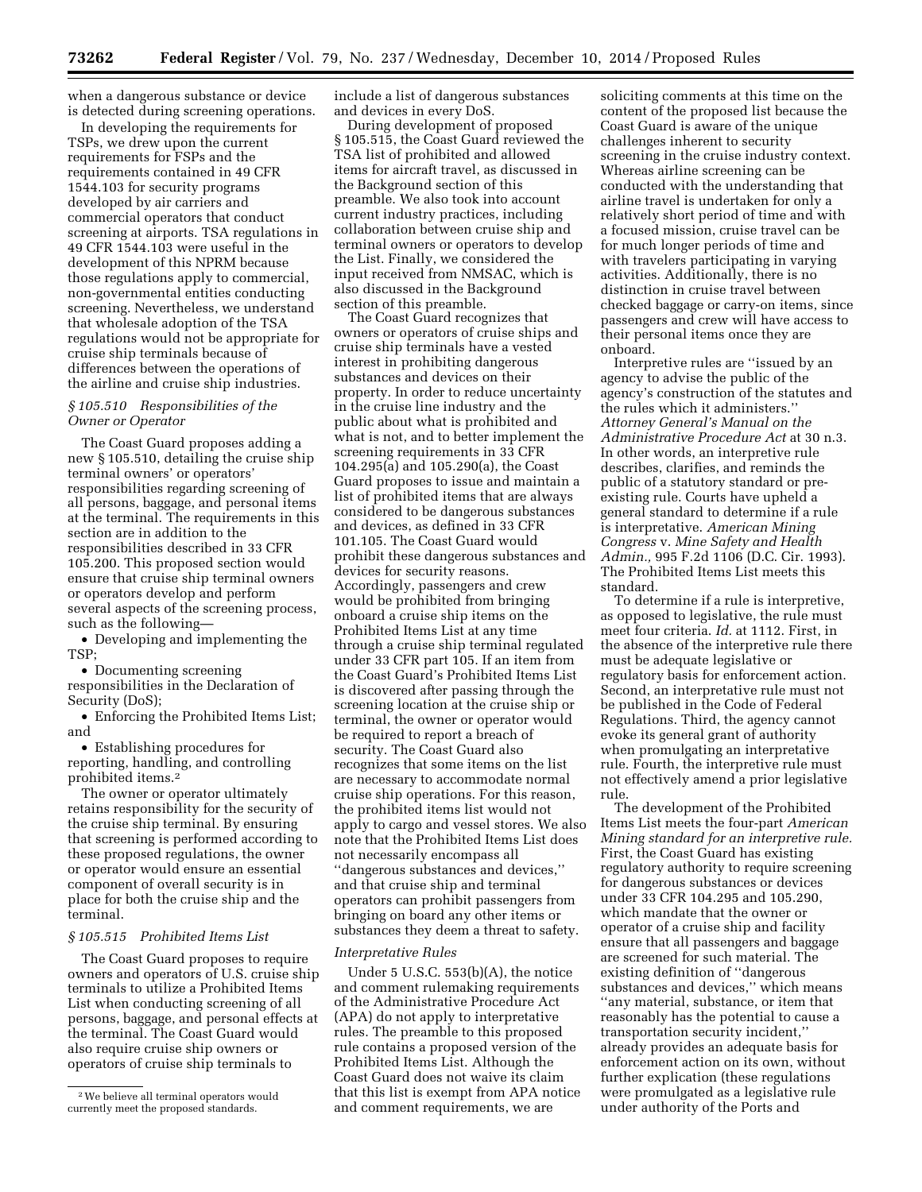when a dangerous substance or device is detected during screening operations.

In developing the requirements for TSPs, we drew upon the current requirements for FSPs and the requirements contained in 49 CFR 1544.103 for security programs developed by air carriers and commercial operators that conduct screening at airports. TSA regulations in 49 CFR 1544.103 were useful in the development of this NPRM because those regulations apply to commercial, non-governmental entities conducting screening. Nevertheless, we understand that wholesale adoption of the TSA regulations would not be appropriate for cruise ship terminals because of differences between the operations of the airline and cruise ship industries.

## *§ 105.510 Responsibilities of the Owner or Operator*

The Coast Guard proposes adding a new § 105.510, detailing the cruise ship terminal owners' or operators' responsibilities regarding screening of all persons, baggage, and personal items at the terminal. The requirements in this section are in addition to the responsibilities described in 33 CFR 105.200. This proposed section would ensure that cruise ship terminal owners or operators develop and perform several aspects of the screening process, such as the following—

• Developing and implementing the TSP;

• Documenting screening responsibilities in the Declaration of Security (DoS);

• Enforcing the Prohibited Items List; and

• Establishing procedures for reporting, handling, and controlling prohibited items.2

The owner or operator ultimately retains responsibility for the security of the cruise ship terminal. By ensuring that screening is performed according to these proposed regulations, the owner or operator would ensure an essential component of overall security is in place for both the cruise ship and the terminal.

## *§ 105.515 Prohibited Items List*

The Coast Guard proposes to require owners and operators of U.S. cruise ship terminals to utilize a Prohibited Items List when conducting screening of all persons, baggage, and personal effects at the terminal. The Coast Guard would also require cruise ship owners or operators of cruise ship terminals to

include a list of dangerous substances and devices in every DoS.

During development of proposed § 105.515, the Coast Guard reviewed the TSA list of prohibited and allowed items for aircraft travel, as discussed in the Background section of this preamble. We also took into account current industry practices, including collaboration between cruise ship and terminal owners or operators to develop the List. Finally, we considered the input received from NMSAC, which is also discussed in the Background section of this preamble.

The Coast Guard recognizes that owners or operators of cruise ships and cruise ship terminals have a vested interest in prohibiting dangerous substances and devices on their property. In order to reduce uncertainty in the cruise line industry and the public about what is prohibited and what is not, and to better implement the screening requirements in 33 CFR 104.295(a) and 105.290(a), the Coast Guard proposes to issue and maintain a list of prohibited items that are always considered to be dangerous substances and devices, as defined in 33 CFR 101.105. The Coast Guard would prohibit these dangerous substances and devices for security reasons. Accordingly, passengers and crew would be prohibited from bringing onboard a cruise ship items on the Prohibited Items List at any time through a cruise ship terminal regulated under 33 CFR part 105. If an item from the Coast Guard's Prohibited Items List is discovered after passing through the screening location at the cruise ship or terminal, the owner or operator would be required to report a breach of security. The Coast Guard also recognizes that some items on the list are necessary to accommodate normal cruise ship operations. For this reason, the prohibited items list would not apply to cargo and vessel stores. We also note that the Prohibited Items List does not necessarily encompass all ''dangerous substances and devices,'' and that cruise ship and terminal operators can prohibit passengers from bringing on board any other items or substances they deem a threat to safety.

### *Interpretative Rules*

Under 5 U.S.C. 553(b)(A), the notice and comment rulemaking requirements of the Administrative Procedure Act (APA) do not apply to interpretative rules. The preamble to this proposed rule contains a proposed version of the Prohibited Items List. Although the Coast Guard does not waive its claim that this list is exempt from APA notice and comment requirements, we are

soliciting comments at this time on the content of the proposed list because the Coast Guard is aware of the unique challenges inherent to security screening in the cruise industry context. Whereas airline screening can be conducted with the understanding that airline travel is undertaken for only a relatively short period of time and with a focused mission, cruise travel can be for much longer periods of time and with travelers participating in varying activities. Additionally, there is no distinction in cruise travel between checked baggage or carry-on items, since passengers and crew will have access to their personal items once they are onboard.

Interpretive rules are ''issued by an agency to advise the public of the agency's construction of the statutes and the rules which it administers.'' *Attorney General's Manual on the Administrative Procedure Act* at 30 n.3. In other words, an interpretive rule describes, clarifies, and reminds the public of a statutory standard or preexisting rule. Courts have upheld a general standard to determine if a rule is interpretative. *American Mining Congress* v. *Mine Safety and Health Admin.,* 995 F.2d 1106 (D.C. Cir. 1993). The Prohibited Items List meets this standard.

To determine if a rule is interpretive, as opposed to legislative, the rule must meet four criteria. *Id.* at 1112. First, in the absence of the interpretive rule there must be adequate legislative or regulatory basis for enforcement action. Second, an interpretative rule must not be published in the Code of Federal Regulations. Third, the agency cannot evoke its general grant of authority when promulgating an interpretative rule. Fourth, the interpretive rule must not effectively amend a prior legislative rule.

The development of the Prohibited Items List meets the four-part *American Mining standard for an interpretive rule.*  First, the Coast Guard has existing regulatory authority to require screening for dangerous substances or devices under 33 CFR 104.295 and 105.290, which mandate that the owner or operator of a cruise ship and facility ensure that all passengers and baggage are screened for such material. The existing definition of ''dangerous substances and devices,'' which means ''any material, substance, or item that reasonably has the potential to cause a transportation security incident,'' already provides an adequate basis for enforcement action on its own, without further explication (these regulations were promulgated as a legislative rule under authority of the Ports and

<sup>2</sup>We believe all terminal operators would currently meet the proposed standards.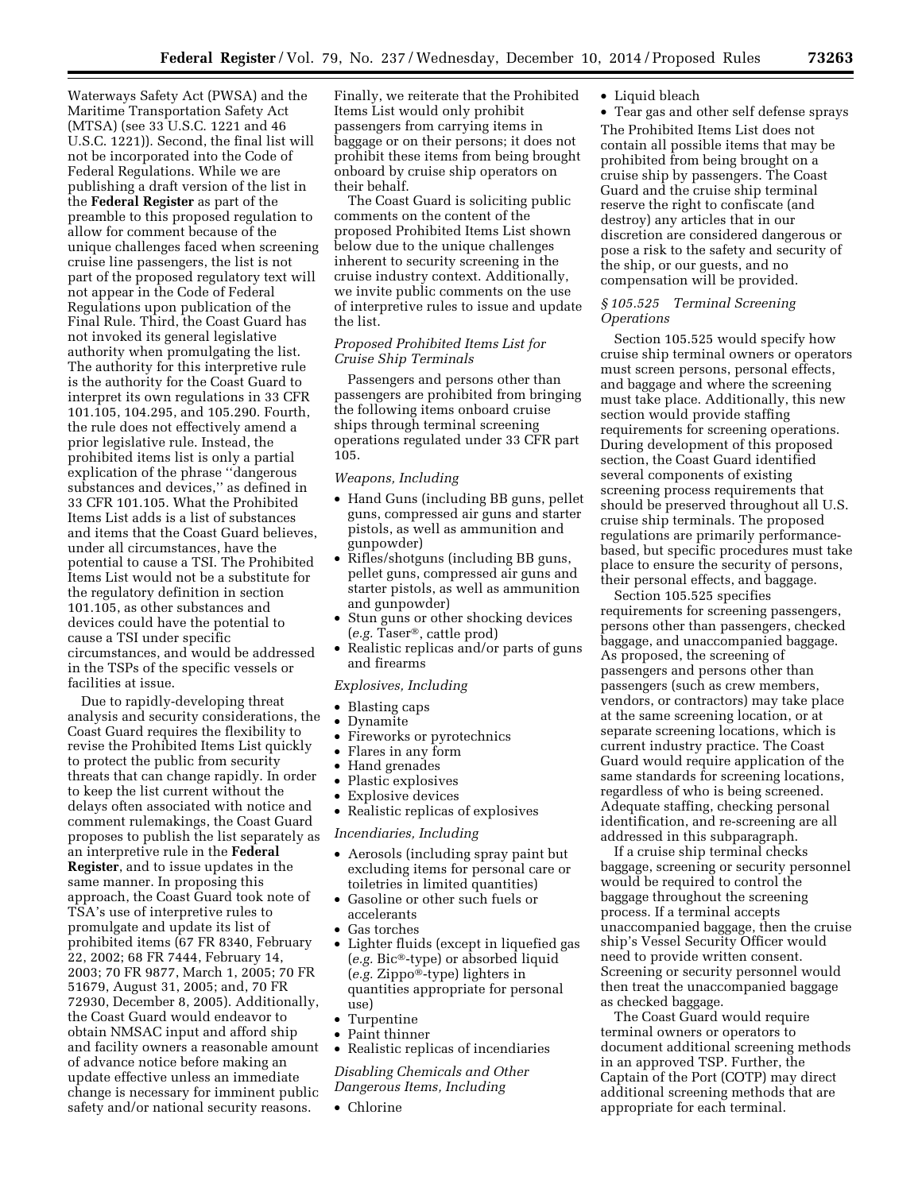Waterways Safety Act (PWSA) and the Maritime Transportation Safety Act (MTSA) (see 33 U.S.C. 1221 and 46 U.S.C. 1221)). Second, the final list will not be incorporated into the Code of Federal Regulations. While we are publishing a draft version of the list in the **Federal Register** as part of the preamble to this proposed regulation to allow for comment because of the unique challenges faced when screening cruise line passengers, the list is not part of the proposed regulatory text will not appear in the Code of Federal Regulations upon publication of the Final Rule. Third, the Coast Guard has not invoked its general legislative authority when promulgating the list. The authority for this interpretive rule is the authority for the Coast Guard to interpret its own regulations in 33 CFR 101.105, 104.295, and 105.290. Fourth, the rule does not effectively amend a prior legislative rule. Instead, the prohibited items list is only a partial explication of the phrase ''dangerous substances and devices,'' as defined in 33 CFR 101.105. What the Prohibited Items List adds is a list of substances and items that the Coast Guard believes, under all circumstances, have the potential to cause a TSI. The Prohibited Items List would not be a substitute for the regulatory definition in section 101.105, as other substances and devices could have the potential to cause a TSI under specific circumstances, and would be addressed in the TSPs of the specific vessels or facilities at issue.

Due to rapidly-developing threat analysis and security considerations, the Coast Guard requires the flexibility to revise the Prohibited Items List quickly to protect the public from security threats that can change rapidly. In order to keep the list current without the delays often associated with notice and comment rulemakings, the Coast Guard proposes to publish the list separately as an interpretive rule in the **Federal Register**, and to issue updates in the same manner. In proposing this approach, the Coast Guard took note of TSA's use of interpretive rules to promulgate and update its list of prohibited items (67 FR 8340, February 22, 2002; 68 FR 7444, February 14, 2003; 70 FR 9877, March 1, 2005; 70 FR 51679, August 31, 2005; and, 70 FR 72930, December 8, 2005). Additionally, the Coast Guard would endeavor to obtain NMSAC input and afford ship and facility owners a reasonable amount of advance notice before making an update effective unless an immediate change is necessary for imminent public safety and/or national security reasons.

Finally, we reiterate that the Prohibited Items List would only prohibit passengers from carrying items in baggage or on their persons; it does not prohibit these items from being brought onboard by cruise ship operators on their behalf.

The Coast Guard is soliciting public comments on the content of the proposed Prohibited Items List shown below due to the unique challenges inherent to security screening in the cruise industry context. Additionally, we invite public comments on the use of interpretive rules to issue and update the list.

## *Proposed Prohibited Items List for Cruise Ship Terminals*

Passengers and persons other than passengers are prohibited from bringing the following items onboard cruise ships through terminal screening operations regulated under 33 CFR part 105.

#### *Weapons, Including*

- Hand Guns (including BB guns, pellet guns, compressed air guns and starter pistols, as well as ammunition and gunpowder)
- Rifles/shotguns (including BB guns, pellet guns, compressed air guns and starter pistols, as well as ammunition and gunpowder)
- Stun guns or other shocking devices (*e.g.* Taser®, cattle prod)
- Realistic replicas and/or parts of guns and firearms

## *Explosives, Including*

- Blasting caps
- Dynamite
- Fireworks or pyrotechnics
- Flares in any form
- Hand grenades
- Plastic explosives
- Explosive devices
- Realistic replicas of explosives

## *Incendiaries, Including*

- Aerosols (including spray paint but excluding items for personal care or toiletries in limited quantities)
- Gasoline or other such fuels or accelerants
- Gas torches
- Lighter fluids (except in liquefied gas (*e.g.* Bic®-type) or absorbed liquid (*e.g.* Zippo®-type) lighters in quantities appropriate for personal use)
- Turpentine
- Paint thinner
- Realistic replicas of incendiaries

## *Disabling Chemicals and Other Dangerous Items, Including*

• Chlorine

## • Liquid bleach

• Tear gas and other self defense sprays The Prohibited Items List does not contain all possible items that may be prohibited from being brought on a cruise ship by passengers. The Coast Guard and the cruise ship terminal reserve the right to confiscate (and destroy) any articles that in our discretion are considered dangerous or pose a risk to the safety and security of the ship, or our guests, and no compensation will be provided.

## *§ 105.525 Terminal Screening Operations*

Section 105.525 would specify how cruise ship terminal owners or operators must screen persons, personal effects, and baggage and where the screening must take place. Additionally, this new section would provide staffing requirements for screening operations. During development of this proposed section, the Coast Guard identified several components of existing screening process requirements that should be preserved throughout all U.S. cruise ship terminals. The proposed regulations are primarily performancebased, but specific procedures must take place to ensure the security of persons, their personal effects, and baggage.

Section 105.525 specifies requirements for screening passengers, persons other than passengers, checked baggage, and unaccompanied baggage. As proposed, the screening of passengers and persons other than passengers (such as crew members, vendors, or contractors) may take place at the same screening location, or at separate screening locations, which is current industry practice. The Coast Guard would require application of the same standards for screening locations, regardless of who is being screened. Adequate staffing, checking personal identification, and re-screening are all addressed in this subparagraph.

If a cruise ship terminal checks baggage, screening or security personnel would be required to control the baggage throughout the screening process. If a terminal accepts unaccompanied baggage, then the cruise ship's Vessel Security Officer would need to provide written consent. Screening or security personnel would then treat the unaccompanied baggage as checked baggage.

The Coast Guard would require terminal owners or operators to document additional screening methods in an approved TSP. Further, the Captain of the Port (COTP) may direct additional screening methods that are appropriate for each terminal.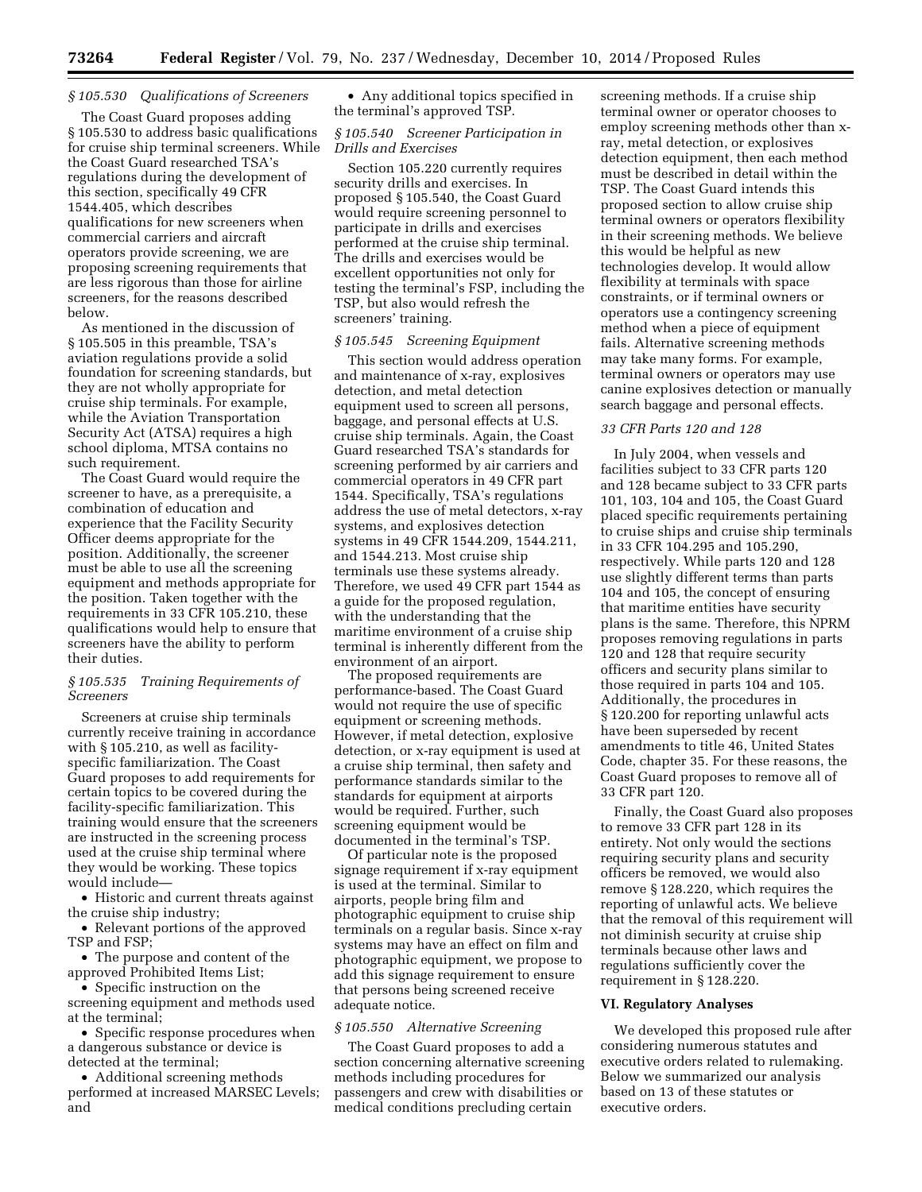## *§ 105.530 Qualifications of Screeners*

The Coast Guard proposes adding § 105.530 to address basic qualifications for cruise ship terminal screeners. While the Coast Guard researched TSA's regulations during the development of this section, specifically 49 CFR 1544.405, which describes qualifications for new screeners when commercial carriers and aircraft operators provide screening, we are proposing screening requirements that are less rigorous than those for airline screeners, for the reasons described below.

As mentioned in the discussion of § 105.505 in this preamble, TSA's aviation regulations provide a solid foundation for screening standards, but they are not wholly appropriate for cruise ship terminals. For example, while the Aviation Transportation Security Act (ATSA) requires a high school diploma, MTSA contains no such requirement.

The Coast Guard would require the screener to have, as a prerequisite, a combination of education and experience that the Facility Security Officer deems appropriate for the position. Additionally, the screener must be able to use all the screening equipment and methods appropriate for the position. Taken together with the requirements in 33 CFR 105.210, these qualifications would help to ensure that screeners have the ability to perform their duties.

### *§ 105.535 Training Requirements of Screeners*

Screeners at cruise ship terminals currently receive training in accordance with § 105.210, as well as facilityspecific familiarization. The Coast Guard proposes to add requirements for certain topics to be covered during the facility-specific familiarization. This training would ensure that the screeners are instructed in the screening process used at the cruise ship terminal where they would be working. These topics would include—

• Historic and current threats against the cruise ship industry;

• Relevant portions of the approved TSP and FSP;

• The purpose and content of the approved Prohibited Items List;

• Specific instruction on the screening equipment and methods used at the terminal;

• Specific response procedures when a dangerous substance or device is detected at the terminal;

• Additional screening methods performed at increased MARSEC Levels; and

• Any additional topics specified in the terminal's approved TSP.

## *§ 105.540 Screener Participation in Drills and Exercises*

Section 105.220 currently requires security drills and exercises. In proposed § 105.540, the Coast Guard would require screening personnel to participate in drills and exercises performed at the cruise ship terminal. The drills and exercises would be excellent opportunities not only for testing the terminal's FSP, including the TSP, but also would refresh the screeners' training.

## *§ 105.545 Screening Equipment*

This section would address operation and maintenance of x-ray, explosives detection, and metal detection equipment used to screen all persons, baggage, and personal effects at U.S. cruise ship terminals. Again, the Coast Guard researched TSA's standards for screening performed by air carriers and commercial operators in 49 CFR part 1544. Specifically, TSA's regulations address the use of metal detectors, x-ray systems, and explosives detection systems in 49 CFR 1544.209, 1544.211, and 1544.213. Most cruise ship terminals use these systems already. Therefore, we used 49 CFR part 1544 as a guide for the proposed regulation, with the understanding that the maritime environment of a cruise ship terminal is inherently different from the environment of an airport.

The proposed requirements are performance-based. The Coast Guard would not require the use of specific equipment or screening methods. However, if metal detection, explosive detection, or x-ray equipment is used at a cruise ship terminal, then safety and performance standards similar to the standards for equipment at airports would be required. Further, such screening equipment would be documented in the terminal's TSP.

Of particular note is the proposed signage requirement if x-ray equipment is used at the terminal. Similar to airports, people bring film and photographic equipment to cruise ship terminals on a regular basis. Since x-ray systems may have an effect on film and photographic equipment, we propose to add this signage requirement to ensure that persons being screened receive adequate notice.

#### *§ 105.550 Alternative Screening*

The Coast Guard proposes to add a section concerning alternative screening methods including procedures for passengers and crew with disabilities or medical conditions precluding certain

screening methods. If a cruise ship terminal owner or operator chooses to employ screening methods other than xray, metal detection, or explosives detection equipment, then each method must be described in detail within the TSP. The Coast Guard intends this proposed section to allow cruise ship terminal owners or operators flexibility in their screening methods. We believe this would be helpful as new technologies develop. It would allow flexibility at terminals with space constraints, or if terminal owners or operators use a contingency screening method when a piece of equipment fails. Alternative screening methods may take many forms. For example, terminal owners or operators may use canine explosives detection or manually search baggage and personal effects.

## *33 CFR Parts 120 and 128*

In July 2004, when vessels and facilities subject to 33 CFR parts 120 and 128 became subject to 33 CFR parts 101, 103, 104 and 105, the Coast Guard placed specific requirements pertaining to cruise ships and cruise ship terminals in 33 CFR 104.295 and 105.290, respectively. While parts 120 and 128 use slightly different terms than parts 104 and 105, the concept of ensuring that maritime entities have security plans is the same. Therefore, this NPRM proposes removing regulations in parts 120 and 128 that require security officers and security plans similar to those required in parts 104 and 105. Additionally, the procedures in § 120.200 for reporting unlawful acts have been superseded by recent amendments to title 46, United States Code, chapter 35. For these reasons, the Coast Guard proposes to remove all of 33 CFR part 120.

Finally, the Coast Guard also proposes to remove 33 CFR part 128 in its entirety. Not only would the sections requiring security plans and security officers be removed, we would also remove § 128.220, which requires the reporting of unlawful acts. We believe that the removal of this requirement will not diminish security at cruise ship terminals because other laws and regulations sufficiently cover the requirement in § 128.220.

## **VI. Regulatory Analyses**

We developed this proposed rule after considering numerous statutes and executive orders related to rulemaking. Below we summarized our analysis based on 13 of these statutes or executive orders.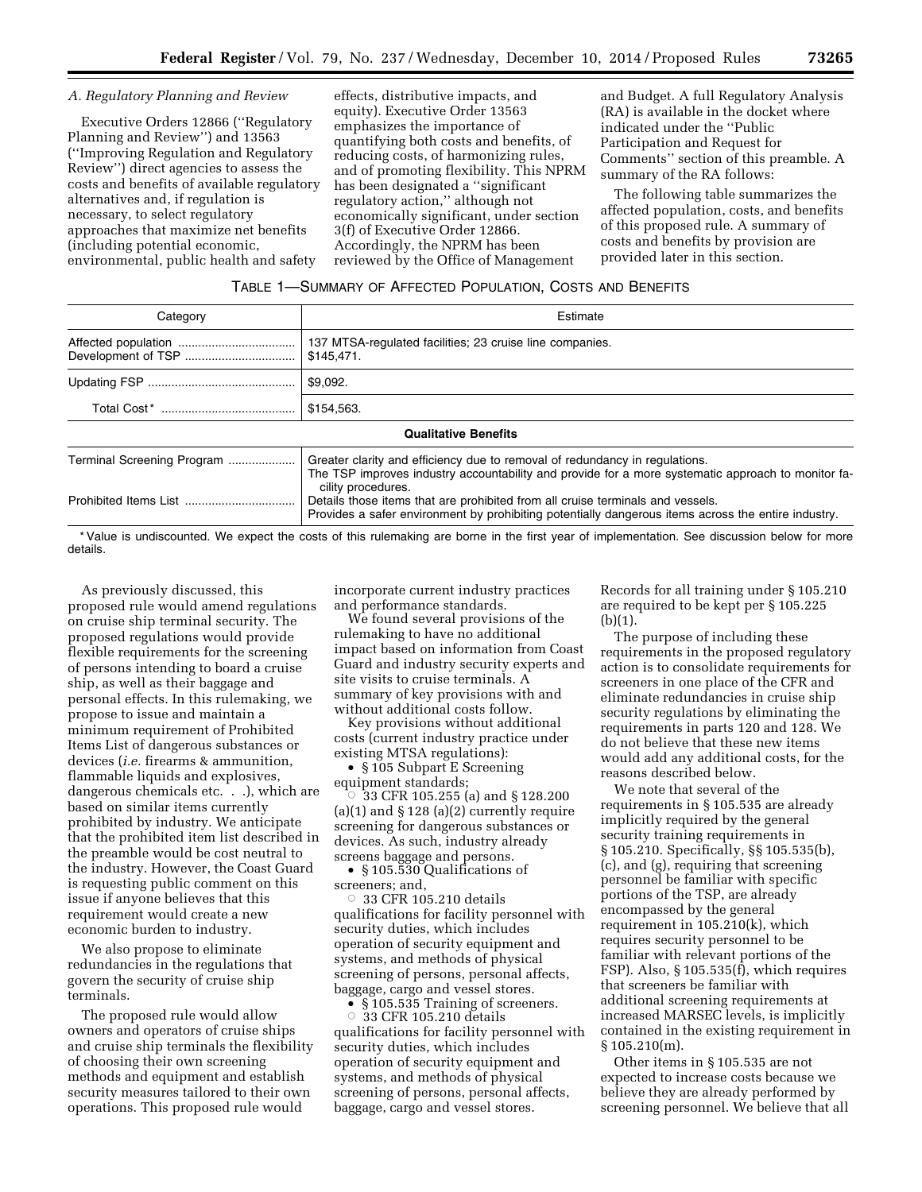#### *A. Regulatory Planning and Review*

Executive Orders 12866 (''Regulatory Planning and Review'') and 13563 (''Improving Regulation and Regulatory Review'') direct agencies to assess the costs and benefits of available regulatory alternatives and, if regulation is necessary, to select regulatory approaches that maximize net benefits (including potential economic, environmental, public health and safety

effects, distributive impacts, and equity). Executive Order 13563 emphasizes the importance of quantifying both costs and benefits, of reducing costs, of harmonizing rules, and of promoting flexibility. This NPRM has been designated a ''significant regulatory action,'' although not economically significant, under section 3(f) of Executive Order 12866. Accordingly, the NPRM has been reviewed by the Office of Management

and Budget. A full Regulatory Analysis (RA) is available in the docket where indicated under the ''Public Participation and Request for Comments'' section of this preamble. A summary of the RA follows:

The following table summarizes the affected population, costs, and benefits of this proposed rule. A summary of costs and benefits by provision are provided later in this section.

## TABLE 1—SUMMARY OF AFFECTED POPULATION, COSTS AND BENEFITS

| Category                   | Estimate                                                                                                                                                                                                |
|----------------------------|---------------------------------------------------------------------------------------------------------------------------------------------------------------------------------------------------------|
|                            | 137 MTSA-regulated facilities; 23 cruise line companies.<br>\$145.471.                                                                                                                                  |
|                            | \$9,092.                                                                                                                                                                                                |
|                            | \$154.563.                                                                                                                                                                                              |
|                            | <b>Qualitative Benefits</b>                                                                                                                                                                             |
| Terminal Screening Program | Greater clarity and efficiency due to removal of redundancy in regulations.<br>The TSP improves industry accountability and provide for a more systematic approach to monitor fa-<br>cility procedures. |
|                            | Details those items that are prohibited from all cruise terminals and vessels.<br>Provides a safer environment by prohibiting potentially dangerous items across the entire industry.                   |

\* Value is undiscounted. We expect the costs of this rulemaking are borne in the first year of implementation. See discussion below for more details.

As previously discussed, this proposed rule would amend regulations on cruise ship terminal security. The proposed regulations would provide flexible requirements for the screening of persons intending to board a cruise ship, as well as their baggage and personal effects. In this rulemaking, we propose to issue and maintain a minimum requirement of Prohibited Items List of dangerous substances or devices (*i.e.* firearms & ammunition, flammable liquids and explosives, dangerous chemicals etc. . .), which are based on similar items currently prohibited by industry. We anticipate that the prohibited item list described in the preamble would be cost neutral to the industry. However, the Coast Guard is requesting public comment on this issue if anyone believes that this requirement would create a new economic burden to industry.

We also propose to eliminate redundancies in the regulations that govern the security of cruise ship terminals.

The proposed rule would allow owners and operators of cruise ships and cruise ship terminals the flexibility of choosing their own screening methods and equipment and establish security measures tailored to their own operations. This proposed rule would

incorporate current industry practices and performance standards.

We found several provisions of the rulemaking to have no additional impact based on information from Coast Guard and industry security experts and site visits to cruise terminals. A summary of key provisions with and without additional costs follow.

Key provisions without additional costs (current industry practice under existing MTSA regulations):

• § 105 Subpart E Screening equipment standards;

 $\circ$  33 CFR 105.255 (a) and §128.200 (a)(1) and  $\S 128$  (a)(2) currently require screening for dangerous substances or devices. As such, industry already screens baggage and persons.

• §105.530 Qualifications of screeners; and,

 $\circ$  33 CFR 105.210 details qualifications for facility personnel with security duties, which includes operation of security equipment and systems, and methods of physical screening of persons, personal affects, baggage, cargo and vessel stores.

● §105.535 Training of screeners.<br>○ 33 CFR 105.210 details

 33 CFR 105.210 details qualifications for facility personnel with security duties, which includes operation of security equipment and systems, and methods of physical screening of persons, personal affects, baggage, cargo and vessel stores.

Records for all training under § 105.210 are required to be kept per § 105.225  $(b)(1).$ 

The purpose of including these requirements in the proposed regulatory action is to consolidate requirements for screeners in one place of the CFR and eliminate redundancies in cruise ship security regulations by eliminating the requirements in parts 120 and 128. We do not believe that these new items would add any additional costs, for the reasons described below.

We note that several of the requirements in § 105.535 are already implicitly required by the general security training requirements in § 105.210. Specifically, §§ 105.535(b), (c), and (g), requiring that screening personnel be familiar with specific portions of the TSP, are already encompassed by the general requirement in 105.210(k), which requires security personnel to be familiar with relevant portions of the FSP). Also, § 105.535(f), which requires that screeners be familiar with additional screening requirements at increased MARSEC levels, is implicitly contained in the existing requirement in  $§ 105.210(m).$ 

Other items in § 105.535 are not expected to increase costs because we believe they are already performed by screening personnel. We believe that all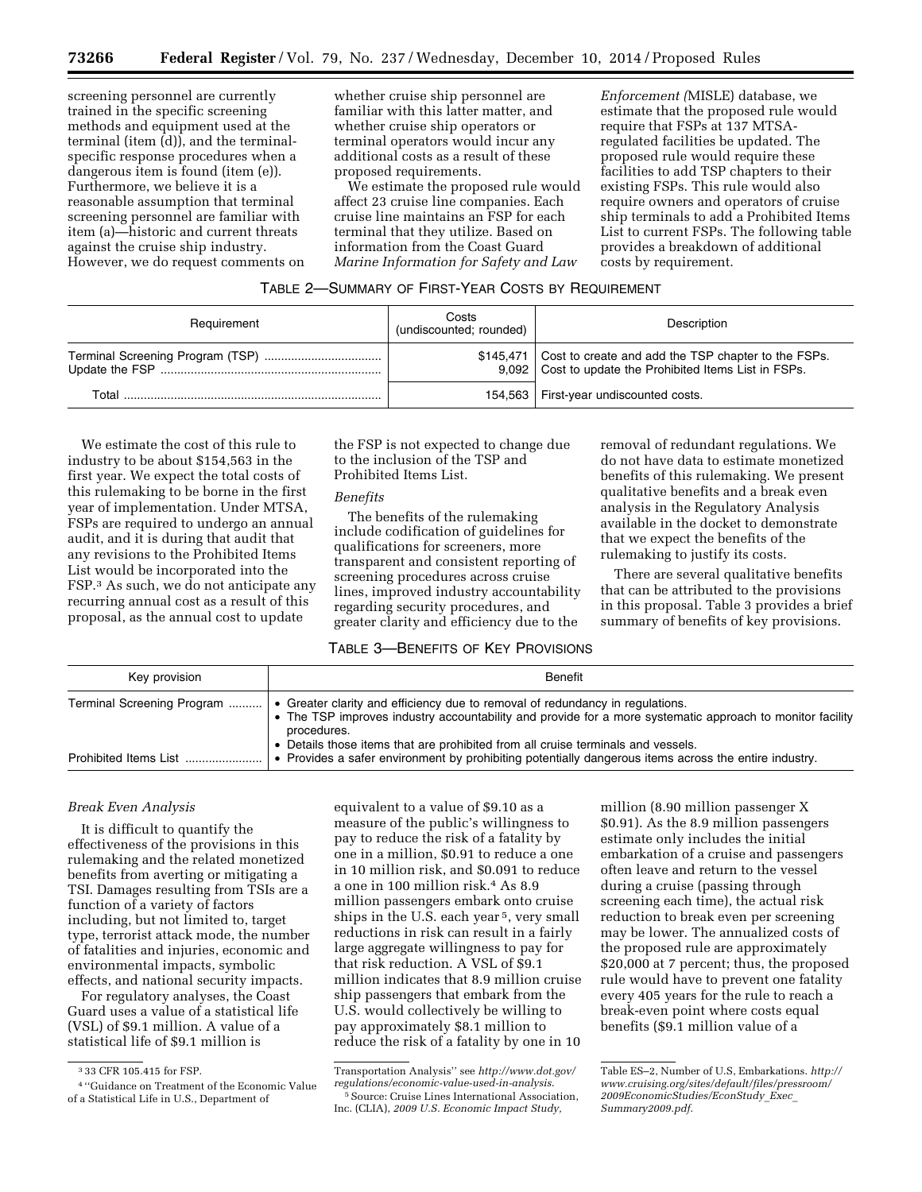screening personnel are currently trained in the specific screening methods and equipment used at the terminal (item (d)), and the terminalspecific response procedures when a dangerous item is found (item (e)). Furthermore, we believe it is a reasonable assumption that terminal screening personnel are familiar with item (a)—historic and current threats against the cruise ship industry. However, we do request comments on whether cruise ship personnel are familiar with this latter matter, and whether cruise ship operators or terminal operators would incur any additional costs as a result of these proposed requirements.

We estimate the proposed rule would affect 23 cruise line companies. Each cruise line maintains an FSP for each terminal that they utilize. Based on information from the Coast Guard *Marine Information for Safety and Law* 

*Enforcement (*MISLE) database, we estimate that the proposed rule would require that FSPs at 137 MTSAregulated facilities be updated. The proposed rule would require these facilities to add TSP chapters to their existing FSPs. This rule would also require owners and operators of cruise ship terminals to add a Prohibited Items List to current FSPs. The following table provides a breakdown of additional costs by requirement.

## TABLE 2—SUMMARY OF FIRST-YEAR COSTS BY REQUIREMENT

| Requirement | Costs<br>(undiscounted; rounded) | Description                                                                                                                |
|-------------|----------------------------------|----------------------------------------------------------------------------------------------------------------------------|
|             |                                  | \$145,471   Cost to create and add the TSP chapter to the FSPs.<br>9,092 Cost to update the Prohibited Items List in FSPs. |
| Total       | 154.563                          | First-year undiscounted costs.                                                                                             |

We estimate the cost of this rule to industry to be about \$154,563 in the first year. We expect the total costs of this rulemaking to be borne in the first year of implementation. Under MTSA, FSPs are required to undergo an annual audit, and it is during that audit that any revisions to the Prohibited Items List would be incorporated into the FSP.3 As such, we do not anticipate any recurring annual cost as a result of this proposal, as the annual cost to update

the FSP is not expected to change due to the inclusion of the TSP and Prohibited Items List.

#### *Benefits*

The benefits of the rulemaking include codification of guidelines for qualifications for screeners, more transparent and consistent reporting of screening procedures across cruise lines, improved industry accountability regarding security procedures, and greater clarity and efficiency due to the

removal of redundant regulations. We do not have data to estimate monetized benefits of this rulemaking. We present qualitative benefits and a break even analysis in the Regulatory Analysis available in the docket to demonstrate that we expect the benefits of the rulemaking to justify its costs.

There are several qualitative benefits that can be attributed to the provisions in this proposal. Table 3 provides a brief summary of benefits of key provisions.

# TABLE 3—BENEFITS OF KEY PROVISIONS

| Key provision              | <b>Benefit</b>                                                                                                                                                                                                                                                                                |
|----------------------------|-----------------------------------------------------------------------------------------------------------------------------------------------------------------------------------------------------------------------------------------------------------------------------------------------|
| Terminal Screening Program | • Greater clarity and efficiency due to removal of redundancy in regulations.<br>• The TSP improves industry accountability and provide for a more systematic approach to monitor facility<br>procedures.<br>• Details those items that are prohibited from all cruise terminals and vessels. |
| Prohibited Items List.     | • Provides a safer environment by prohibiting potentially dangerous items across the entire industry.                                                                                                                                                                                         |

### *Break Even Analysis*

It is difficult to quantify the effectiveness of the provisions in this rulemaking and the related monetized benefits from averting or mitigating a TSI. Damages resulting from TSIs are a function of a variety of factors including, but not limited to, target type, terrorist attack mode, the number of fatalities and injuries, economic and environmental impacts, symbolic effects, and national security impacts.

For regulatory analyses, the Coast Guard uses a value of a statistical life (VSL) of \$9.1 million. A value of a statistical life of \$9.1 million is

equivalent to a value of \$9.10 as a measure of the public's willingness to pay to reduce the risk of a fatality by one in a million, \$0.91 to reduce a one in 10 million risk, and \$0.091 to reduce a one in 100 million risk.4 As 8.9 million passengers embark onto cruise ships in the U.S. each year 5, very small reductions in risk can result in a fairly large aggregate willingness to pay for that risk reduction. A VSL of \$9.1 million indicates that 8.9 million cruise ship passengers that embark from the U.S. would collectively be willing to pay approximately \$8.1 million to reduce the risk of a fatality by one in 10

million (8.90 million passenger X \$0.91). As the 8.9 million passengers estimate only includes the initial embarkation of a cruise and passengers often leave and return to the vessel during a cruise (passing through screening each time), the actual risk reduction to break even per screening may be lower. The annualized costs of the proposed rule are approximately \$20,000 at 7 percent; thus, the proposed rule would have to prevent one fatality every 405 years for the rule to reach a break-even point where costs equal benefits (\$9.1 million value of a

<sup>3</sup> 33 CFR 105.415 for FSP.

<sup>4</sup> ''Guidance on Treatment of the Economic Value of a Statistical Life in U.S., Department of

Transportation Analysis'' see *[http://www.dot.gov/](http://www.dot.gov/regulations/economic-value-used-in-analysis) [regulations/economic-value-used-in-analysis](http://www.dot.gov/regulations/economic-value-used-in-analysis)*.

<sup>5</sup>Source: Cruise Lines International Association, Inc. (CLIA), *2009 U.S. Economic Impact Study,* 

Table ES–2, Number of U.S, Embarkations. *[http://](http://www.cruising.org/sites/default/files/pressroom/2009EconomicStudies/EconStudy_Exec_Summary2009.pdf) [www.cruising.org/sites/default/files/pressroom/](http://www.cruising.org/sites/default/files/pressroom/2009EconomicStudies/EconStudy_Exec_Summary2009.pdf) [2009EconomicStudies/EconStudy](http://www.cruising.org/sites/default/files/pressroom/2009EconomicStudies/EconStudy_Exec_Summary2009.pdf)*\_*Exec*\_ *[Summary2009.pdf](http://www.cruising.org/sites/default/files/pressroom/2009EconomicStudies/EconStudy_Exec_Summary2009.pdf)*.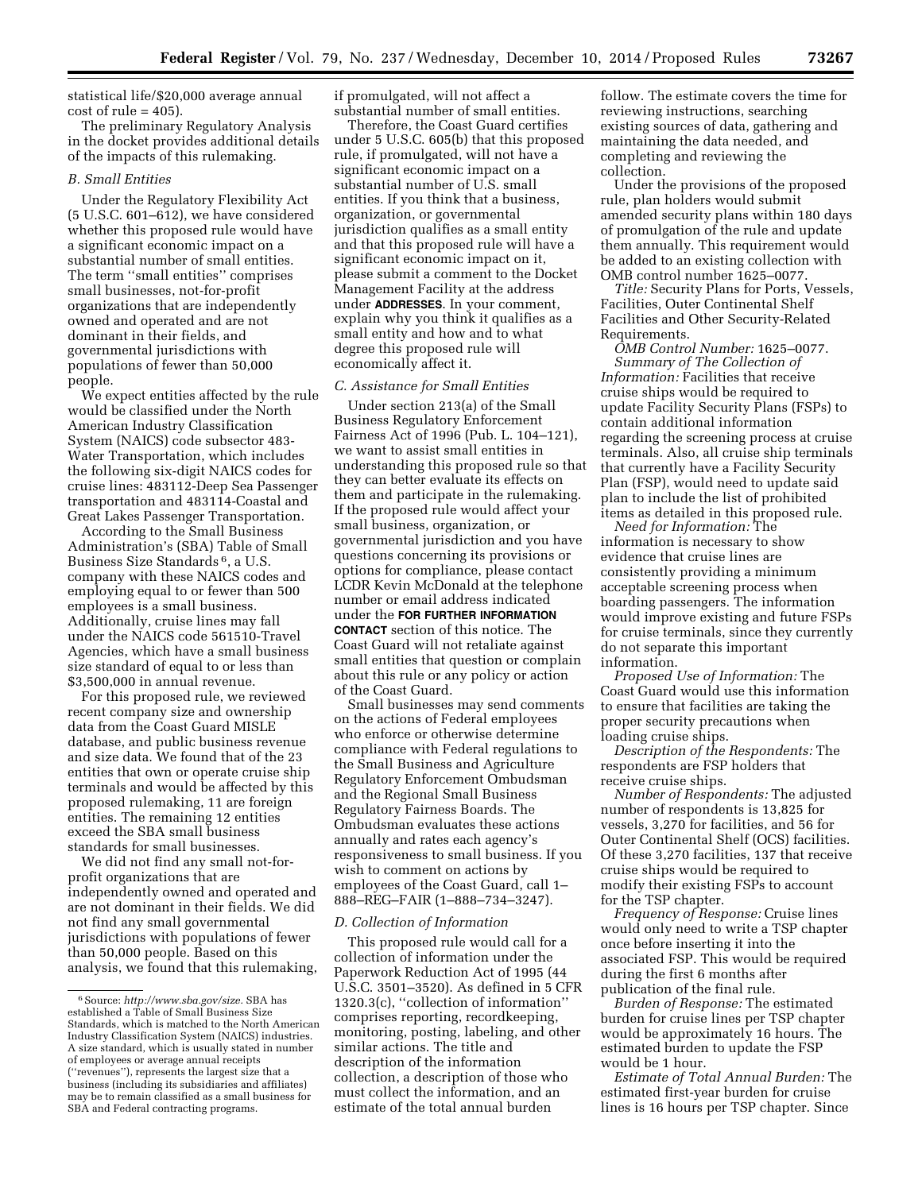statistical life/\$20,000 average annual  $cost of rule = 405$ .

The preliminary Regulatory Analysis in the docket provides additional details of the impacts of this rulemaking.

## *B. Small Entities*

Under the Regulatory Flexibility Act (5 U.S.C. 601–612), we have considered whether this proposed rule would have a significant economic impact on a substantial number of small entities. The term ''small entities'' comprises small businesses, not-for-profit organizations that are independently owned and operated and are not dominant in their fields, and governmental jurisdictions with populations of fewer than 50,000 people.

We expect entities affected by the rule would be classified under the North American Industry Classification System (NAICS) code subsector 483- Water Transportation, which includes the following six-digit NAICS codes for cruise lines: 483112-Deep Sea Passenger transportation and 483114-Coastal and Great Lakes Passenger Transportation.

According to the Small Business Administration's (SBA) Table of Small Business Size Standards 6, a U.S. company with these NAICS codes and employing equal to or fewer than 500 employees is a small business. Additionally, cruise lines may fall under the NAICS code 561510-Travel Agencies, which have a small business size standard of equal to or less than \$3,500,000 in annual revenue.

For this proposed rule, we reviewed recent company size and ownership data from the Coast Guard MISLE database, and public business revenue and size data. We found that of the 23 entities that own or operate cruise ship terminals and would be affected by this proposed rulemaking, 11 are foreign entities. The remaining 12 entities exceed the SBA small business standards for small businesses.

We did not find any small not-forprofit organizations that are independently owned and operated and are not dominant in their fields. We did not find any small governmental jurisdictions with populations of fewer than 50,000 people. Based on this analysis, we found that this rulemaking, if promulgated, will not affect a substantial number of small entities.

Therefore, the Coast Guard certifies under 5 U.S.C. 605(b) that this proposed rule, if promulgated, will not have a significant economic impact on a substantial number of U.S. small entities. If you think that a business, organization, or governmental jurisdiction qualifies as a small entity and that this proposed rule will have a significant economic impact on it, please submit a comment to the Docket Management Facility at the address under **ADDRESSES**. In your comment, explain why you think it qualifies as a small entity and how and to what degree this proposed rule will economically affect it.

### *C. Assistance for Small Entities*

Under section 213(a) of the Small Business Regulatory Enforcement Fairness Act of 1996 (Pub. L. 104–121), we want to assist small entities in understanding this proposed rule so that they can better evaluate its effects on them and participate in the rulemaking. If the proposed rule would affect your small business, organization, or governmental jurisdiction and you have questions concerning its provisions or options for compliance, please contact LCDR Kevin McDonald at the telephone number or email address indicated under the **FOR FURTHER INFORMATION CONTACT** section of this notice. The Coast Guard will not retaliate against small entities that question or complain about this rule or any policy or action of the Coast Guard.

Small businesses may send comments on the actions of Federal employees who enforce or otherwise determine compliance with Federal regulations to the Small Business and Agriculture Regulatory Enforcement Ombudsman and the Regional Small Business Regulatory Fairness Boards. The Ombudsman evaluates these actions annually and rates each agency's responsiveness to small business. If you wish to comment on actions by employees of the Coast Guard, call 1– 888–REG–FAIR (1–888–734–3247).

## *D. Collection of Information*

This proposed rule would call for a collection of information under the Paperwork Reduction Act of 1995 (44 U.S.C. 3501–3520). As defined in 5 CFR 1320.3(c), ''collection of information'' comprises reporting, recordkeeping, monitoring, posting, labeling, and other similar actions. The title and description of the information collection, a description of those who must collect the information, and an estimate of the total annual burden

follow. The estimate covers the time for reviewing instructions, searching existing sources of data, gathering and maintaining the data needed, and completing and reviewing the collection.

Under the provisions of the proposed rule, plan holders would submit amended security plans within 180 days of promulgation of the rule and update them annually. This requirement would be added to an existing collection with OMB control number 1625–0077.

*Title:* Security Plans for Ports, Vessels, Facilities, Outer Continental Shelf Facilities and Other Security-Related Requirements.

*OMB Control Number:* 1625–0077. *Summary of The Collection of Information:* Facilities that receive cruise ships would be required to update Facility Security Plans (FSPs) to contain additional information regarding the screening process at cruise terminals. Also, all cruise ship terminals that currently have a Facility Security Plan (FSP), would need to update said plan to include the list of prohibited items as detailed in this proposed rule.

*Need for Information:* The information is necessary to show evidence that cruise lines are consistently providing a minimum acceptable screening process when boarding passengers. The information would improve existing and future FSPs for cruise terminals, since they currently do not separate this important information.

*Proposed Use of Information:* The Coast Guard would use this information to ensure that facilities are taking the proper security precautions when loading cruise ships.

*Description of the Respondents:* The respondents are FSP holders that receive cruise ships.

*Number of Respondents:* The adjusted number of respondents is 13,825 for vessels, 3,270 for facilities, and 56 for Outer Continental Shelf (OCS) facilities. Of these 3,270 facilities, 137 that receive cruise ships would be required to modify their existing FSPs to account for the TSP chapter.

*Frequency of Response:* Cruise lines would only need to write a TSP chapter once before inserting it into the associated FSP. This would be required during the first 6 months after publication of the final rule.

*Burden of Response:* The estimated burden for cruise lines per TSP chapter would be approximately 16 hours. The estimated burden to update the FSP would be 1 hour.

*Estimate of Total Annual Burden:* The estimated first-year burden for cruise lines is 16 hours per TSP chapter. Since

<sup>6</sup>Source: *[http://www.sba.gov/size.](http://www.sba.gov/size)* SBA has established a Table of Small Business Size Standards, which is matched to the North American Industry Classification System (NAICS) industries. A size standard, which is usually stated in number of employees or average annual receipts (''revenues''), represents the largest size that a business (including its subsidiaries and affiliates) may be to remain classified as a small business for SBA and Federal contracting programs.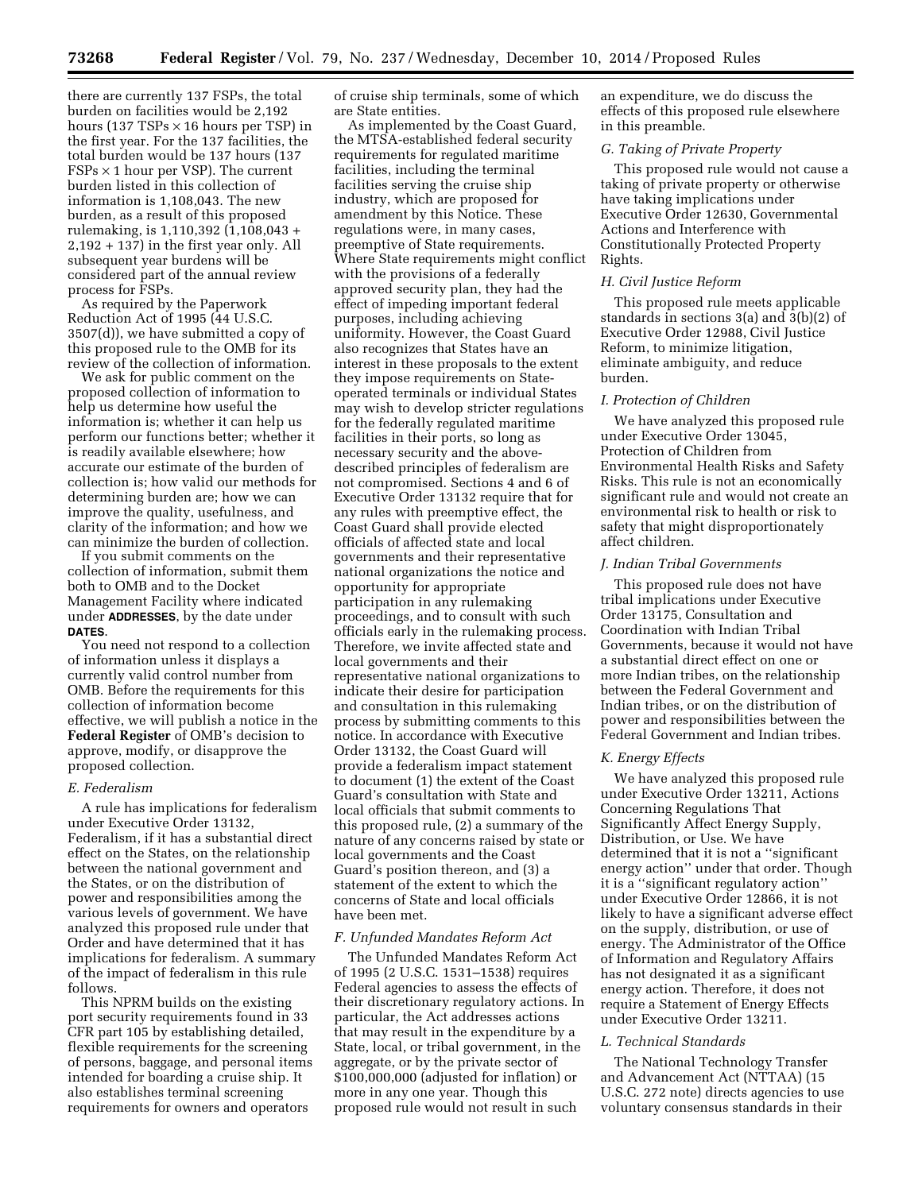there are currently 137 FSPs, the total burden on facilities would be 2,192 hours (137 TSPs  $\times$  16 hours per TSP) in the first year. For the 137 facilities, the total burden would be 137 hours (137  $FSPs \times 1$  hour per VSP). The current burden listed in this collection of information is 1,108,043. The new burden, as a result of this proposed rulemaking, is 1,110,392 (1,108,043 + 2,192 + 137) in the first year only. All subsequent year burdens will be considered part of the annual review process for FSPs.

As required by the Paperwork Reduction Act of 1995 (44 U.S.C. 3507(d)), we have submitted a copy of this proposed rule to the OMB for its review of the collection of information.

We ask for public comment on the proposed collection of information to help us determine how useful the information is; whether it can help us perform our functions better; whether it is readily available elsewhere; how accurate our estimate of the burden of collection is; how valid our methods for determining burden are; how we can improve the quality, usefulness, and clarity of the information; and how we can minimize the burden of collection.

If you submit comments on the collection of information, submit them both to OMB and to the Docket Management Facility where indicated under **ADDRESSES**, by the date under **DATES**.

You need not respond to a collection of information unless it displays a currently valid control number from OMB. Before the requirements for this collection of information become effective, we will publish a notice in the **Federal Register** of OMB's decision to approve, modify, or disapprove the proposed collection.

### *E. Federalism*

A rule has implications for federalism under Executive Order 13132, Federalism, if it has a substantial direct effect on the States, on the relationship between the national government and the States, or on the distribution of power and responsibilities among the various levels of government. We have analyzed this proposed rule under that Order and have determined that it has implications for federalism. A summary of the impact of federalism in this rule follows.

This NPRM builds on the existing port security requirements found in 33 CFR part 105 by establishing detailed, flexible requirements for the screening of persons, baggage, and personal items intended for boarding a cruise ship. It also establishes terminal screening requirements for owners and operators

of cruise ship terminals, some of which are State entities.

As implemented by the Coast Guard, the MTSA-established federal security requirements for regulated maritime facilities, including the terminal facilities serving the cruise ship industry, which are proposed for amendment by this Notice. These regulations were, in many cases, preemptive of State requirements. Where State requirements might conflict with the provisions of a federally approved security plan, they had the effect of impeding important federal purposes, including achieving uniformity. However, the Coast Guard also recognizes that States have an interest in these proposals to the extent they impose requirements on Stateoperated terminals or individual States may wish to develop stricter regulations for the federally regulated maritime facilities in their ports, so long as necessary security and the abovedescribed principles of federalism are not compromised. Sections 4 and 6 of Executive Order 13132 require that for any rules with preemptive effect, the Coast Guard shall provide elected officials of affected state and local governments and their representative national organizations the notice and opportunity for appropriate participation in any rulemaking proceedings, and to consult with such officials early in the rulemaking process. Therefore, we invite affected state and local governments and their representative national organizations to indicate their desire for participation and consultation in this rulemaking process by submitting comments to this notice. In accordance with Executive Order 13132, the Coast Guard will provide a federalism impact statement to document (1) the extent of the Coast Guard's consultation with State and local officials that submit comments to this proposed rule, (2) a summary of the nature of any concerns raised by state or local governments and the Coast Guard's position thereon, and (3) a statement of the extent to which the concerns of State and local officials have been met.

#### *F. Unfunded Mandates Reform Act*

The Unfunded Mandates Reform Act of 1995 (2 U.S.C. 1531–1538) requires Federal agencies to assess the effects of their discretionary regulatory actions. In particular, the Act addresses actions that may result in the expenditure by a State, local, or tribal government, in the aggregate, or by the private sector of \$100,000,000 (adjusted for inflation) or more in any one year. Though this proposed rule would not result in such

an expenditure, we do discuss the effects of this proposed rule elsewhere in this preamble.

#### *G. Taking of Private Property*

This proposed rule would not cause a taking of private property or otherwise have taking implications under Executive Order 12630, Governmental Actions and Interference with Constitutionally Protected Property Rights.

### *H. Civil Justice Reform*

This proposed rule meets applicable standards in sections 3(a) and 3(b)(2) of Executive Order 12988, Civil Justice Reform, to minimize litigation, eliminate ambiguity, and reduce burden.

## *I. Protection of Children*

We have analyzed this proposed rule under Executive Order 13045, Protection of Children from Environmental Health Risks and Safety Risks. This rule is not an economically significant rule and would not create an environmental risk to health or risk to safety that might disproportionately affect children.

### *J. Indian Tribal Governments*

This proposed rule does not have tribal implications under Executive Order 13175, Consultation and Coordination with Indian Tribal Governments, because it would not have a substantial direct effect on one or more Indian tribes, on the relationship between the Federal Government and Indian tribes, or on the distribution of power and responsibilities between the Federal Government and Indian tribes.

#### *K. Energy Effects*

We have analyzed this proposed rule under Executive Order 13211, Actions Concerning Regulations That Significantly Affect Energy Supply, Distribution, or Use. We have determined that it is not a ''significant energy action'' under that order. Though it is a ''significant regulatory action'' under Executive Order 12866, it is not likely to have a significant adverse effect on the supply, distribution, or use of energy. The Administrator of the Office of Information and Regulatory Affairs has not designated it as a significant energy action. Therefore, it does not require a Statement of Energy Effects under Executive Order 13211.

### *L. Technical Standards*

The National Technology Transfer and Advancement Act (NTTAA) (15 U.S.C. 272 note) directs agencies to use voluntary consensus standards in their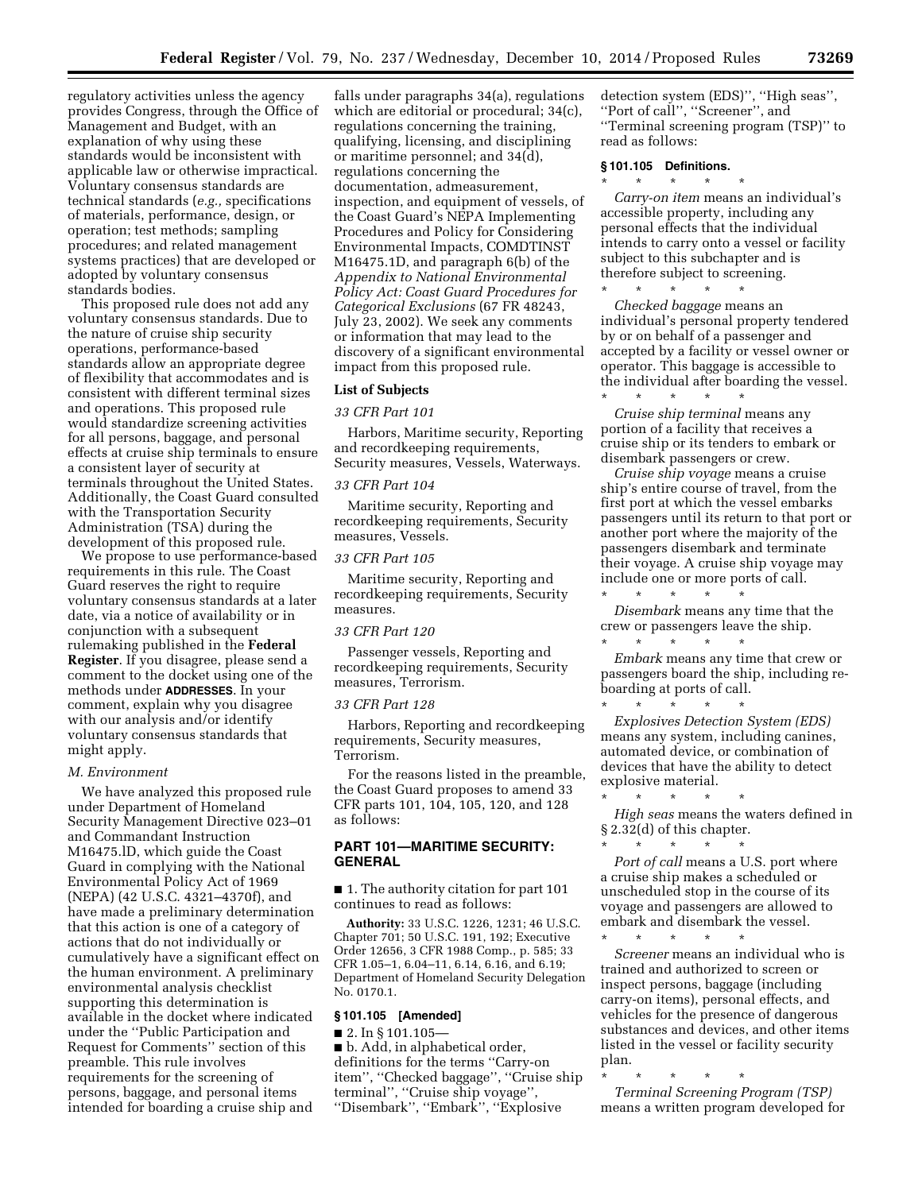regulatory activities unless the agency provides Congress, through the Office of Management and Budget, with an explanation of why using these standards would be inconsistent with applicable law or otherwise impractical. Voluntary consensus standards are technical standards (*e.g.,* specifications of materials, performance, design, or operation; test methods; sampling procedures; and related management systems practices) that are developed or adopted by voluntary consensus standards bodies.

This proposed rule does not add any voluntary consensus standards. Due to the nature of cruise ship security operations, performance-based standards allow an appropriate degree of flexibility that accommodates and is consistent with different terminal sizes and operations. This proposed rule would standardize screening activities for all persons, baggage, and personal effects at cruise ship terminals to ensure a consistent layer of security at terminals throughout the United States. Additionally, the Coast Guard consulted with the Transportation Security Administration (TSA) during the development of this proposed rule.

We propose to use performance-based requirements in this rule. The Coast Guard reserves the right to require voluntary consensus standards at a later date, via a notice of availability or in conjunction with a subsequent rulemaking published in the **Federal Register**. If you disagree, please send a comment to the docket using one of the methods under **ADDRESSES**. In your comment, explain why you disagree with our analysis and/or identify voluntary consensus standards that might apply.

#### *M. Environment*

We have analyzed this proposed rule under Department of Homeland Security Management Directive 023–01 and Commandant Instruction M16475.lD, which guide the Coast Guard in complying with the National Environmental Policy Act of 1969 (NEPA) (42 U.S.C. 4321–4370f), and have made a preliminary determination that this action is one of a category of actions that do not individually or cumulatively have a significant effect on the human environment. A preliminary environmental analysis checklist supporting this determination is available in the docket where indicated under the ''Public Participation and Request for Comments'' section of this preamble. This rule involves requirements for the screening of persons, baggage, and personal items intended for boarding a cruise ship and

falls under paragraphs 34(a), regulations which are editorial or procedural; 34(c), regulations concerning the training, qualifying, licensing, and disciplining or maritime personnel; and 34(d), regulations concerning the documentation, admeasurement, inspection, and equipment of vessels, of the Coast Guard's NEPA Implementing Procedures and Policy for Considering Environmental Impacts, COMDTINST M16475.1D, and paragraph 6(b) of the *Appendix to National Environmental Policy Act: Coast Guard Procedures for Categorical Exclusions* (67 FR 48243, July 23, 2002). We seek any comments or information that may lead to the discovery of a significant environmental impact from this proposed rule.

### **List of Subjects**

### *33 CFR Part 101*

Harbors, Maritime security, Reporting and recordkeeping requirements, Security measures, Vessels, Waterways.

#### *33 CFR Part 104*

Maritime security, Reporting and recordkeeping requirements, Security measures, Vessels.

#### *33 CFR Part 105*

Maritime security, Reporting and recordkeeping requirements, Security measures.

### *33 CFR Part 120*

Passenger vessels, Reporting and recordkeeping requirements, Security measures, Terrorism.

#### *33 CFR Part 128*

Harbors, Reporting and recordkeeping requirements, Security measures, Terrorism.

For the reasons listed in the preamble, the Coast Guard proposes to amend 33 CFR parts 101, 104, 105, 120, and 128 as follows:

## **PART 101—MARITIME SECURITY: GENERAL**

■ 1. The authority citation for part 101 continues to read as follows:

**Authority:** 33 U.S.C. 1226, 1231; 46 U.S.C. Chapter 701; 50 U.S.C. 191, 192; Executive Order 12656, 3 CFR 1988 Comp., p. 585; 33 CFR 1.05–1, 6.04–11, 6.14, 6.16, and 6.19; Department of Homeland Security Delegation No. 0170.1.

## **§ 101.105 [Amended]**

■ 2. In § 101.105–

■ b. Add, in alphabetical order, definitions for the terms ''Carry-on item'', ''Checked baggage'', ''Cruise ship terminal'', ''Cruise ship voyage'', ''Disembark'', ''Embark'', ''Explosive

detection system (EDS)'', ''High seas'', ''Port of call'', ''Screener'', and ''Terminal screening program (TSP)'' to read as follows:

## **§ 101.105 Definitions.**

 $\star$   $\star$ 

*Carry-on item* means an individual's accessible property, including any personal effects that the individual intends to carry onto a vessel or facility subject to this subchapter and is therefore subject to screening.

\* \* \* \* \* *Checked baggage* means an individual's personal property tendered by or on behalf of a passenger and accepted by a facility or vessel owner or operator. This baggage is accessible to the individual after boarding the vessel. \* \* \* \* \*

*Cruise ship terminal* means any portion of a facility that receives a cruise ship or its tenders to embark or disembark passengers or crew.

*Cruise ship voyage* means a cruise ship's entire course of travel, from the first port at which the vessel embarks passengers until its return to that port or another port where the majority of the passengers disembark and terminate their voyage. A cruise ship voyage may include one or more ports of call. \* \* \* \* \*

*Disembark* means any time that the crew or passengers leave the ship.

\* \* \* \* \* *Embark* means any time that crew or passengers board the ship, including reboarding at ports of call.<br> $*$   $*$   $*$   $*$   $*$ 

\* \* \* \* \* *Explosives Detection System (EDS)*  means any system, including canines, automated device, or combination of devices that have the ability to detect explosive material.

\* \* \* \* \* *High seas* means the waters defined in § 2.32(d) of this chapter.

\* \* \* \* \* Port of call means a U.S. port where a cruise ship makes a scheduled or unscheduled stop in the course of its voyage and passengers are allowed to embark and disembark the vessel.

\* \* \* \* \* *Screener* means an individual who is trained and authorized to screen or inspect persons, baggage (including carry-on items), personal effects, and vehicles for the presence of dangerous substances and devices, and other items listed in the vessel or facility security plan.

\* \* \* \* \*

*Terminal Screening Program (TSP)*  means a written program developed for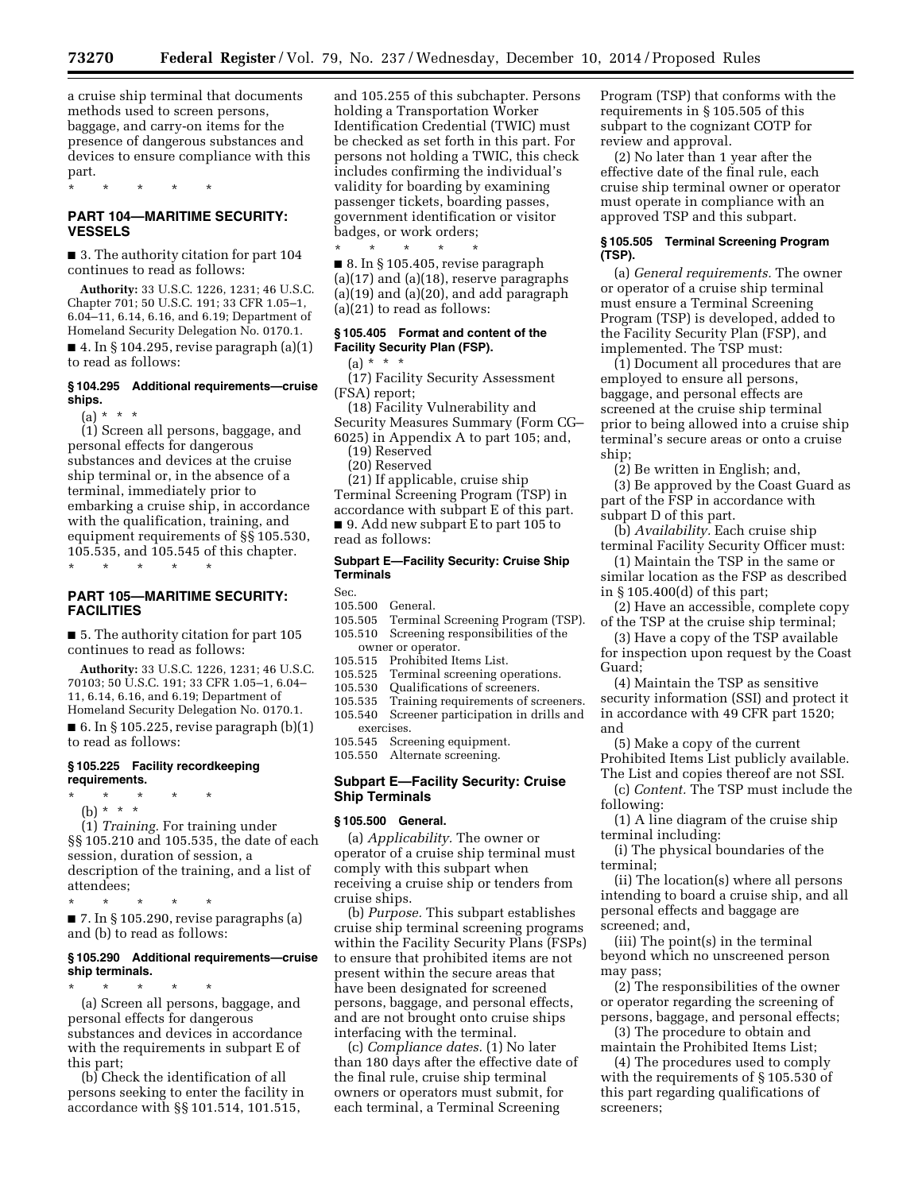a cruise ship terminal that documents methods used to screen persons, baggage, and carry-on items for the presence of dangerous substances and devices to ensure compliance with this part.

\* \* \* \* \*

## **PART 104—MARITIME SECURITY: VESSELS**

■ 3. The authority citation for part 104 continues to read as follows:

**Authority:** 33 U.S.C. 1226, 1231; 46 U.S.C. Chapter 701; 50 U.S.C. 191; 33 CFR 1.05–1, 6.04–11, 6.14, 6.16, and 6.19; Department of Homeland Security Delegation No. 0170.1.  $\blacksquare$  4. In § 104.295, revise paragraph (a)(1)

to read as follows:

# **§ 104.295 Additional requirements—cruise ships.**

(a) \* \* \*

(1) Screen all persons, baggage, and personal effects for dangerous substances and devices at the cruise ship terminal or, in the absence of a terminal, immediately prior to embarking a cruise ship, in accordance with the qualification, training, and equipment requirements of §§ 105.530, 105.535, and 105.545 of this chapter.

\* \* \* \* \*

# **PART 105—MARITIME SECURITY: FACILITIES**

■ 5. The authority citation for part 105 continues to read as follows:

**Authority:** 33 U.S.C. 1226, 1231; 46 U.S.C. 70103; 50 U.S.C. 191; 33 CFR 1.05–1, 6.04– 11, 6.14, 6.16, and 6.19; Department of Homeland Security Delegation No. 0170.1.  $\blacksquare$  6. In § 105.225, revise paragraph  $(b)(1)$ to read as follows:

## **§ 105.225 Facility recordkeeping requirements.**

- \* \* \* \* \*
- (b) \* \* \*

(1) *Training.* For training under §§ 105.210 and 105.535, the date of each session, duration of session, a description of the training, and a list of attendees;

\* \* \* \* \* ■ 7. In § 105.290, revise paragraphs (a) and (b) to read as follows:

## **§ 105.290 Additional requirements—cruise ship terminals.**

\* \* \* \* \* (a) Screen all persons, baggage, and personal effects for dangerous substances and devices in accordance with the requirements in subpart E of this part;

(b) Check the identification of all persons seeking to enter the facility in accordance with §§ 101.514, 101.515,

and 105.255 of this subchapter. Persons holding a Transportation Worker Identification Credential (TWIC) must be checked as set forth in this part. For persons not holding a TWIC, this check includes confirming the individual's validity for boarding by examining passenger tickets, boarding passes, government identification or visitor badges, or work orders;

\* \* \* \* \* ■ 8. In § 105.405, revise paragraph (a)(17) and (a)(18), reserve paragraphs  $(a)(19)$  and  $(a)(20)$ , and add paragraph (a)(21) to read as follows:

# **§ 105.405 Format and content of the Facility Security Plan (FSP).**

 $(a) * * * *$ 

(17) Facility Security Assessment (FSA) report;

(18) Facility Vulnerability and Security Measures Summary (Form CG– 6025) in Appendix A to part 105; and,

- (19) Reserved
	- (20) Reserved
	- (21) If applicable, cruise ship

Terminal Screening Program (TSP) in accordance with subpart E of this part. ■ 9. Add new subpart E to part 105 to read as follows:

## **Subpart E—Facility Security: Cruise Ship Terminals**

Sec.

- 105.500 General. Terminal Screening Program (TSP).
- 105.510 Screening responsibilities of the
- owner or operator.<br>105.515 Prohibited Ite
- Prohibited Items List.
- 
- 105.525 Terminal screening operations.<br>105.530 Qualifications of screeners. 105.530 Qualifications of screeners.
- 105.535 Training requirements of screeners. 105.540 Screener participation in drills and exercises.
- 105.545 Screening equipment.
- 105.550 Alternate screening.

#### **Subpart E—Facility Security: Cruise Ship Terminals**

#### **§ 105.500 General.**

(a) *Applicability.* The owner or operator of a cruise ship terminal must comply with this subpart when receiving a cruise ship or tenders from cruise ships.

(b) *Purpose.* This subpart establishes cruise ship terminal screening programs within the Facility Security Plans (FSPs) to ensure that prohibited items are not present within the secure areas that have been designated for screened persons, baggage, and personal effects, and are not brought onto cruise ships interfacing with the terminal.

(c) *Compliance dates.* (1) No later than 180 days after the effective date of the final rule, cruise ship terminal owners or operators must submit, for each terminal, a Terminal Screening

Program (TSP) that conforms with the requirements in § 105.505 of this subpart to the cognizant COTP for review and approval.

(2) No later than 1 year after the effective date of the final rule, each cruise ship terminal owner or operator must operate in compliance with an approved TSP and this subpart.

## **§ 105.505 Terminal Screening Program (TSP).**

(a) *General requirements.* The owner or operator of a cruise ship terminal must ensure a Terminal Screening Program (TSP) is developed, added to the Facility Security Plan (FSP), and implemented. The TSP must:

(1) Document all procedures that are employed to ensure all persons, baggage, and personal effects are screened at the cruise ship terminal prior to being allowed into a cruise ship terminal's secure areas or onto a cruise ship;

(2) Be written in English; and,

(3) Be approved by the Coast Guard as part of the FSP in accordance with subpart D of this part.

(b) *Availability.* Each cruise ship terminal Facility Security Officer must:

(1) Maintain the TSP in the same or similar location as the FSP as described in § 105.400(d) of this part;

(2) Have an accessible, complete copy of the TSP at the cruise ship terminal;

(3) Have a copy of the TSP available for inspection upon request by the Coast Guard;

(4) Maintain the TSP as sensitive security information (SSI) and protect it in accordance with 49 CFR part 1520; and

(5) Make a copy of the current Prohibited Items List publicly available. The List and copies thereof are not SSI.

(c) *Content.* The TSP must include the following:

(1) A line diagram of the cruise ship terminal including:

(i) The physical boundaries of the terminal;

(ii) The location(s) where all persons intending to board a cruise ship, and all personal effects and baggage are screened; and,

(iii) The point(s) in the terminal beyond which no unscreened person may pass;

(2) The responsibilities of the owner or operator regarding the screening of persons, baggage, and personal effects;

(3) The procedure to obtain and maintain the Prohibited Items List;

(4) The procedures used to comply with the requirements of § 105.530 of this part regarding qualifications of screeners;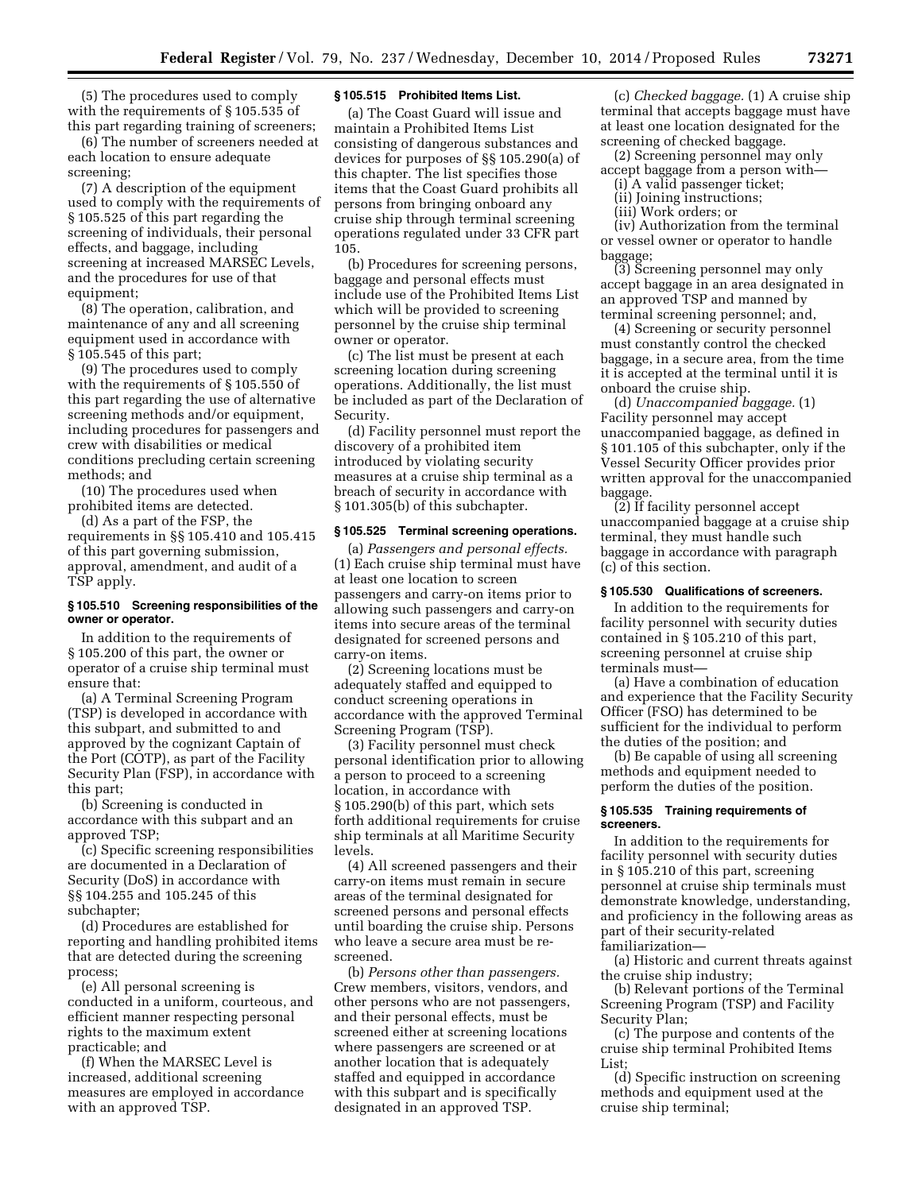(5) The procedures used to comply with the requirements of § 105.535 of this part regarding training of screeners;

(6) The number of screeners needed at each location to ensure adequate screening;

(7) A description of the equipment used to comply with the requirements of § 105.525 of this part regarding the screening of individuals, their personal effects, and baggage, including screening at increased MARSEC Levels, and the procedures for use of that equipment;

(8) The operation, calibration, and maintenance of any and all screening equipment used in accordance with § 105.545 of this part;

(9) The procedures used to comply with the requirements of § 105.550 of this part regarding the use of alternative screening methods and/or equipment, including procedures for passengers and crew with disabilities or medical conditions precluding certain screening methods; and

(10) The procedures used when prohibited items are detected.

(d) As a part of the FSP, the requirements in §§ 105.410 and 105.415 of this part governing submission, approval, amendment, and audit of a TSP apply.

## **§ 105.510 Screening responsibilities of the owner or operator.**

In addition to the requirements of § 105.200 of this part, the owner or operator of a cruise ship terminal must ensure that:

(a) A Terminal Screening Program (TSP) is developed in accordance with this subpart, and submitted to and approved by the cognizant Captain of the Port (COTP), as part of the Facility Security Plan (FSP), in accordance with this part;

(b) Screening is conducted in accordance with this subpart and an approved TSP;

(c) Specific screening responsibilities are documented in a Declaration of Security (DoS) in accordance with §§ 104.255 and 105.245 of this subchapter;

(d) Procedures are established for reporting and handling prohibited items that are detected during the screening process;

(e) All personal screening is conducted in a uniform, courteous, and efficient manner respecting personal rights to the maximum extent practicable; and

(f) When the MARSEC Level is increased, additional screening measures are employed in accordance with an approved TSP.

#### **§ 105.515 Prohibited Items List.**

(a) The Coast Guard will issue and maintain a Prohibited Items List consisting of dangerous substances and devices for purposes of §§ 105.290(a) of this chapter. The list specifies those items that the Coast Guard prohibits all persons from bringing onboard any cruise ship through terminal screening operations regulated under 33 CFR part 105.

(b) Procedures for screening persons, baggage and personal effects must include use of the Prohibited Items List which will be provided to screening personnel by the cruise ship terminal owner or operator.

(c) The list must be present at each screening location during screening operations. Additionally, the list must be included as part of the Declaration of Security.

(d) Facility personnel must report the discovery of a prohibited item introduced by violating security measures at a cruise ship terminal as a breach of security in accordance with § 101.305(b) of this subchapter.

#### **§ 105.525 Terminal screening operations.**

(a) *Passengers and personal effects.*  (1) Each cruise ship terminal must have at least one location to screen passengers and carry-on items prior to allowing such passengers and carry-on items into secure areas of the terminal designated for screened persons and carry-on items.

(2) Screening locations must be adequately staffed and equipped to conduct screening operations in accordance with the approved Terminal Screening Program (TSP).

(3) Facility personnel must check personal identification prior to allowing a person to proceed to a screening location, in accordance with § 105.290(b) of this part, which sets forth additional requirements for cruise ship terminals at all Maritime Security levels.

(4) All screened passengers and their carry-on items must remain in secure areas of the terminal designated for screened persons and personal effects until boarding the cruise ship. Persons who leave a secure area must be rescreened.

(b) *Persons other than passengers.*  Crew members, visitors, vendors, and other persons who are not passengers, and their personal effects, must be screened either at screening locations where passengers are screened or at another location that is adequately staffed and equipped in accordance with this subpart and is specifically designated in an approved TSP.

(c) *Checked baggage.* (1) A cruise ship terminal that accepts baggage must have at least one location designated for the screening of checked baggage.

(2) Screening personnel may only accept baggage from a person with—

- (i) A valid passenger ticket;
- (ii) Joining instructions;
- (iii) Work orders; or

(iv) Authorization from the terminal or vessel owner or operator to handle baggage;

(3) Screening personnel may only accept baggage in an area designated in an approved TSP and manned by terminal screening personnel; and,

(4) Screening or security personnel must constantly control the checked baggage, in a secure area, from the time it is accepted at the terminal until it is onboard the cruise ship.

(d) *Unaccompanied baggage.* (1) Facility personnel may accept unaccompanied baggage, as defined in § 101.105 of this subchapter, only if the Vessel Security Officer provides prior written approval for the unaccompanied baggage.

(2) If facility personnel accept unaccompanied baggage at a cruise ship terminal, they must handle such baggage in accordance with paragraph (c) of this section.

#### **§ 105.530 Qualifications of screeners.**

In addition to the requirements for facility personnel with security duties contained in § 105.210 of this part, screening personnel at cruise ship terminals must—

(a) Have a combination of education and experience that the Facility Security Officer (FSO) has determined to be sufficient for the individual to perform the duties of the position; and

(b) Be capable of using all screening methods and equipment needed to perform the duties of the position.

### **§ 105.535 Training requirements of screeners.**

In addition to the requirements for facility personnel with security duties in § 105.210 of this part, screening personnel at cruise ship terminals must demonstrate knowledge, understanding, and proficiency in the following areas as part of their security-related familiarization—

(a) Historic and current threats against the cruise ship industry;

(b) Relevant portions of the Terminal Screening Program (TSP) and Facility Security Plan;

(c) The purpose and contents of the cruise ship terminal Prohibited Items List;

(d) Specific instruction on screening methods and equipment used at the cruise ship terminal;